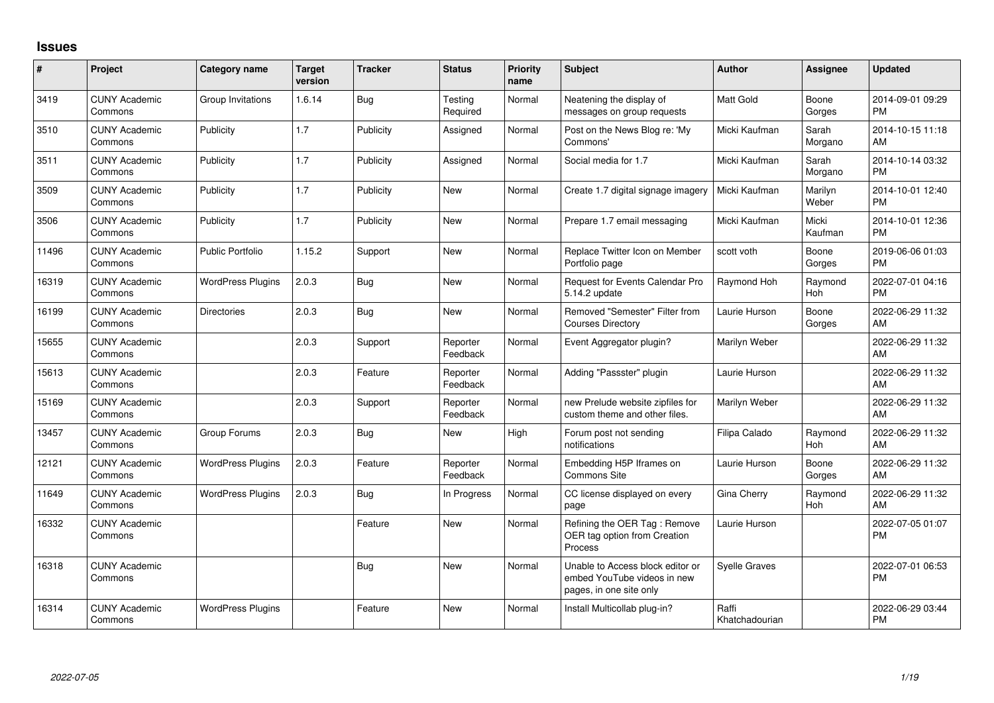## **Issues**

| #     | Project                         | Category name            | <b>Target</b><br>version | <b>Tracker</b> | <b>Status</b>        | <b>Priority</b><br>name | <b>Subject</b>                                                                             | Author                  | <b>Assignee</b>       | <b>Updated</b>                |
|-------|---------------------------------|--------------------------|--------------------------|----------------|----------------------|-------------------------|--------------------------------------------------------------------------------------------|-------------------------|-----------------------|-------------------------------|
| 3419  | <b>CUNY Academic</b><br>Commons | Group Invitations        | 1.6.14                   | <b>Bug</b>     | Testing<br>Required  | Normal                  | Neatening the display of<br>messages on group requests                                     | <b>Matt Gold</b>        | Boone<br>Gorges       | 2014-09-01 09:29<br><b>PM</b> |
| 3510  | <b>CUNY Academic</b><br>Commons | Publicity                | 1.7                      | Publicity      | Assigned             | Normal                  | Post on the News Blog re: 'My<br>Commons'                                                  | Micki Kaufman           | Sarah<br>Morgano      | 2014-10-15 11:18<br>AM        |
| 3511  | <b>CUNY Academic</b><br>Commons | Publicity                | 1.7                      | Publicity      | Assigned             | Normal                  | Social media for 1.7                                                                       | Micki Kaufman           | Sarah<br>Morgano      | 2014-10-14 03:32<br><b>PM</b> |
| 3509  | <b>CUNY Academic</b><br>Commons | Publicity                | 1.7                      | Publicity      | New                  | Normal                  | Create 1.7 digital signage imagery                                                         | Micki Kaufman           | Marilyn<br>Weber      | 2014-10-01 12:40<br><b>PM</b> |
| 3506  | <b>CUNY Academic</b><br>Commons | Publicity                | 1.7                      | Publicity      | <b>New</b>           | Normal                  | Prepare 1.7 email messaging                                                                | Micki Kaufman           | Micki<br>Kaufman      | 2014-10-01 12:36<br><b>PM</b> |
| 11496 | <b>CUNY Academic</b><br>Commons | <b>Public Portfolio</b>  | 1.15.2                   | Support        | <b>New</b>           | Normal                  | Replace Twitter Icon on Member<br>Portfolio page                                           | scott voth              | Boone<br>Gorges       | 2019-06-06 01:03<br><b>PM</b> |
| 16319 | <b>CUNY Academic</b><br>Commons | <b>WordPress Plugins</b> | 2.0.3                    | Bug            | New                  | Normal                  | Request for Events Calendar Pro<br>5.14.2 update                                           | Raymond Hoh             | Raymond<br>Hoh        | 2022-07-01 04:16<br><b>PM</b> |
| 16199 | <b>CUNY Academic</b><br>Commons | <b>Directories</b>       | 2.0.3                    | Bug            | <b>New</b>           | Normal                  | Removed "Semester" Filter from<br><b>Courses Directory</b>                                 | Laurie Hurson           | Boone<br>Gorges       | 2022-06-29 11:32<br>AM        |
| 15655 | <b>CUNY Academic</b><br>Commons |                          | 2.0.3                    | Support        | Reporter<br>Feedback | Normal                  | Event Aggregator plugin?                                                                   | Marilyn Weber           |                       | 2022-06-29 11:32<br>AM        |
| 15613 | <b>CUNY Academic</b><br>Commons |                          | 2.0.3                    | Feature        | Reporter<br>Feedback | Normal                  | Adding "Passster" plugin                                                                   | Laurie Hurson           |                       | 2022-06-29 11:32<br>AM        |
| 15169 | <b>CUNY Academic</b><br>Commons |                          | 2.0.3                    | Support        | Reporter<br>Feedback | Normal                  | new Prelude website zipfiles for<br>custom theme and other files.                          | Marilyn Weber           |                       | 2022-06-29 11:32<br>AM        |
| 13457 | <b>CUNY Academic</b><br>Commons | Group Forums             | 2.0.3                    | <b>Bug</b>     | New                  | High                    | Forum post not sending<br>notifications                                                    | Filipa Calado           | Raymond<br>Hoh        | 2022-06-29 11:32<br>AM        |
| 12121 | <b>CUNY Academic</b><br>Commons | <b>WordPress Plugins</b> | 2.0.3                    | Feature        | Reporter<br>Feedback | Normal                  | Embedding H5P Iframes on<br><b>Commons Site</b>                                            | Laurie Hurson           | Boone<br>Gorges       | 2022-06-29 11:32<br>AM        |
| 11649 | <b>CUNY Academic</b><br>Commons | <b>WordPress Plugins</b> | 2.0.3                    | Bug            | In Progress          | Normal                  | CC license displayed on every<br>page                                                      | Gina Cherry             | Raymond<br><b>Hoh</b> | 2022-06-29 11:32<br>AM        |
| 16332 | <b>CUNY Academic</b><br>Commons |                          |                          | Feature        | New                  | Normal                  | Refining the OER Tag: Remove<br>OER tag option from Creation<br>Process                    | Laurie Hurson           |                       | 2022-07-05 01:07<br><b>PM</b> |
| 16318 | <b>CUNY Academic</b><br>Commons |                          |                          | <b>Bug</b>     | New                  | Normal                  | Unable to Access block editor or<br>embed YouTube videos in new<br>pages, in one site only | <b>Syelle Graves</b>    |                       | 2022-07-01 06:53<br><b>PM</b> |
| 16314 | <b>CUNY Academic</b><br>Commons | <b>WordPress Plugins</b> |                          | Feature        | <b>New</b>           | Normal                  | Install Multicollab plug-in?                                                               | Raffi<br>Khatchadourian |                       | 2022-06-29 03:44<br><b>PM</b> |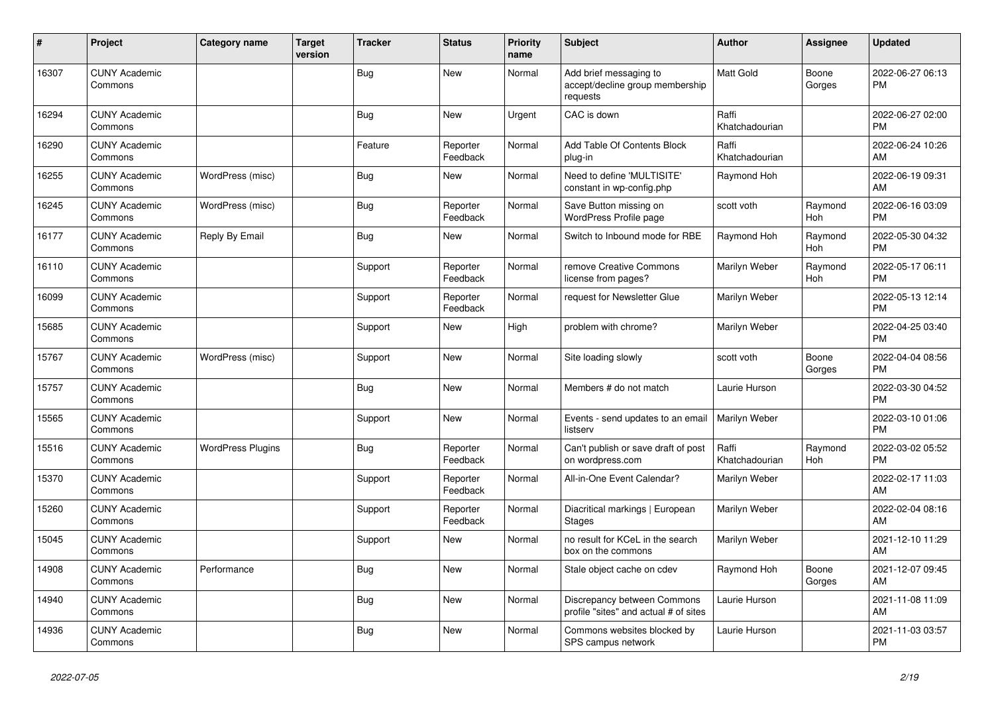| #     | Project                         | <b>Category name</b>     | <b>Target</b><br>version | <b>Tracker</b> | <b>Status</b>        | <b>Priority</b><br>name | <b>Subject</b>                                                        | <b>Author</b>           | <b>Assignee</b> | <b>Updated</b>                |
|-------|---------------------------------|--------------------------|--------------------------|----------------|----------------------|-------------------------|-----------------------------------------------------------------------|-------------------------|-----------------|-------------------------------|
| 16307 | <b>CUNY Academic</b><br>Commons |                          |                          | <b>Bug</b>     | New                  | Normal                  | Add brief messaging to<br>accept/decline group membership<br>requests | <b>Matt Gold</b>        | Boone<br>Gorges | 2022-06-27 06:13<br><b>PM</b> |
| 16294 | <b>CUNY Academic</b><br>Commons |                          |                          | Bug            | <b>New</b>           | Urgent                  | CAC is down                                                           | Raffi<br>Khatchadourian |                 | 2022-06-27 02:00<br><b>PM</b> |
| 16290 | <b>CUNY Academic</b><br>Commons |                          |                          | Feature        | Reporter<br>Feedback | Normal                  | Add Table Of Contents Block<br>plug-in                                | Raffi<br>Khatchadourian |                 | 2022-06-24 10:26<br>AM        |
| 16255 | <b>CUNY Academic</b><br>Commons | WordPress (misc)         |                          | <b>Bug</b>     | New                  | Normal                  | Need to define 'MULTISITE'<br>constant in wp-config.php               | Raymond Hoh             |                 | 2022-06-19 09:31<br>AM        |
| 16245 | <b>CUNY Academic</b><br>Commons | WordPress (misc)         |                          | <b>Bug</b>     | Reporter<br>Feedback | Normal                  | Save Button missing on<br>WordPress Profile page                      | scott voth              | Raymond<br>Hoh  | 2022-06-16 03:09<br><b>PM</b> |
| 16177 | <b>CUNY Academic</b><br>Commons | Reply By Email           |                          | <b>Bug</b>     | New                  | Normal                  | Switch to Inbound mode for RBE                                        | Raymond Hoh             | Raymond<br>Hoh  | 2022-05-30 04:32<br><b>PM</b> |
| 16110 | <b>CUNY Academic</b><br>Commons |                          |                          | Support        | Reporter<br>Feedback | Normal                  | remove Creative Commons<br>license from pages?                        | Marilyn Weber           | Raymond<br>Hoh  | 2022-05-17 06:11<br><b>PM</b> |
| 16099 | <b>CUNY Academic</b><br>Commons |                          |                          | Support        | Reporter<br>Feedback | Normal                  | request for Newsletter Glue                                           | Marilyn Weber           |                 | 2022-05-13 12:14<br><b>PM</b> |
| 15685 | <b>CUNY Academic</b><br>Commons |                          |                          | Support        | New                  | High                    | problem with chrome?                                                  | Marilyn Weber           |                 | 2022-04-25 03:40<br><b>PM</b> |
| 15767 | <b>CUNY Academic</b><br>Commons | WordPress (misc)         |                          | Support        | New                  | Normal                  | Site loading slowly                                                   | scott voth              | Boone<br>Gorges | 2022-04-04 08:56<br><b>PM</b> |
| 15757 | <b>CUNY Academic</b><br>Commons |                          |                          | Bug            | New                  | Normal                  | Members # do not match                                                | Laurie Hurson           |                 | 2022-03-30 04:52<br><b>PM</b> |
| 15565 | <b>CUNY Academic</b><br>Commons |                          |                          | Support        | <b>New</b>           | Normal                  | Events - send updates to an email<br>listserv                         | Marilyn Weber           |                 | 2022-03-10 01:06<br><b>PM</b> |
| 15516 | <b>CUNY Academic</b><br>Commons | <b>WordPress Plugins</b> |                          | Bug            | Reporter<br>Feedback | Normal                  | Can't publish or save draft of post<br>on wordpress.com               | Raffi<br>Khatchadourian | Raymond<br>Hoh  | 2022-03-02 05:52<br><b>PM</b> |
| 15370 | <b>CUNY Academic</b><br>Commons |                          |                          | Support        | Reporter<br>Feedback | Normal                  | All-in-One Event Calendar?                                            | Marilyn Weber           |                 | 2022-02-17 11:03<br>AM        |
| 15260 | <b>CUNY Academic</b><br>Commons |                          |                          | Support        | Reporter<br>Feedback | Normal                  | Diacritical markings   European<br><b>Stages</b>                      | Marilyn Weber           |                 | 2022-02-04 08:16<br>AM        |
| 15045 | <b>CUNY Academic</b><br>Commons |                          |                          | Support        | <b>New</b>           | Normal                  | no result for KCeL in the search<br>box on the commons                | <b>Marilyn Weber</b>    |                 | 2021-12-10 11:29<br>AM        |
| 14908 | <b>CUNY Academic</b><br>Commons | Performance              |                          | Bug            | New                  | Normal                  | Stale object cache on cdev                                            | Raymond Hoh             | Boone<br>Gorges | 2021-12-07 09:45<br>AM        |
| 14940 | <b>CUNY Academic</b><br>Commons |                          |                          | Bug            | New                  | Normal                  | Discrepancy between Commons<br>profile "sites" and actual # of sites  | Laurie Hurson           |                 | 2021-11-08 11:09<br>AM        |
| 14936 | <b>CUNY Academic</b><br>Commons |                          |                          | Bug            | <b>New</b>           | Normal                  | Commons websites blocked by<br>SPS campus network                     | Laurie Hurson           |                 | 2021-11-03 03:57<br><b>PM</b> |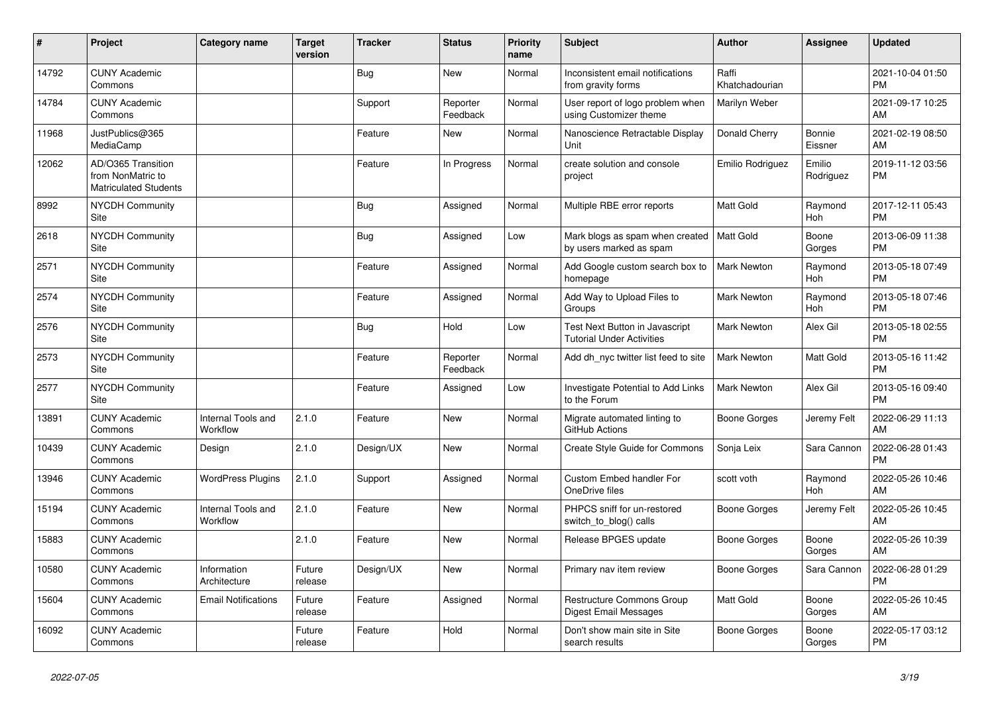| ∦     | Project                                                                 | <b>Category name</b>           | <b>Target</b><br>version | <b>Tracker</b> | <b>Status</b>        | <b>Priority</b><br>name | <b>Subject</b>                                                     | <b>Author</b>           | <b>Assignee</b>     | <b>Updated</b>                |
|-------|-------------------------------------------------------------------------|--------------------------------|--------------------------|----------------|----------------------|-------------------------|--------------------------------------------------------------------|-------------------------|---------------------|-------------------------------|
| 14792 | <b>CUNY Academic</b><br>Commons                                         |                                |                          | <b>Bug</b>     | New                  | Normal                  | Inconsistent email notifications<br>from gravity forms             | Raffi<br>Khatchadourian |                     | 2021-10-04 01:50<br><b>PM</b> |
| 14784 | <b>CUNY Academic</b><br>Commons                                         |                                |                          | Support        | Reporter<br>Feedback | Normal                  | User report of logo problem when<br>using Customizer theme         | Marilyn Weber           |                     | 2021-09-17 10:25<br>AM        |
| 11968 | JustPublics@365<br>MediaCamp                                            |                                |                          | Feature        | <b>New</b>           | Normal                  | Nanoscience Retractable Display<br>Unit                            | Donald Cherry           | Bonnie<br>Eissner   | 2021-02-19 08:50<br>AM        |
| 12062 | AD/O365 Transition<br>from NonMatric to<br><b>Matriculated Students</b> |                                |                          | Feature        | In Progress          | Normal                  | create solution and console<br>project                             | Emilio Rodriguez        | Emilio<br>Rodriguez | 2019-11-12 03:56<br><b>PM</b> |
| 8992  | <b>NYCDH Community</b><br>Site                                          |                                |                          | Bug            | Assigned             | Normal                  | Multiple RBE error reports                                         | <b>Matt Gold</b>        | Raymond<br>Hoh      | 2017-12-11 05:43<br><b>PM</b> |
| 2618  | <b>NYCDH Community</b><br>Site                                          |                                |                          | Bug            | Assigned             | Low                     | Mark blogs as spam when created<br>by users marked as spam         | Matt Gold               | Boone<br>Gorges     | 2013-06-09 11:38<br><b>PM</b> |
| 2571  | <b>NYCDH Community</b><br>Site                                          |                                |                          | Feature        | Assigned             | Normal                  | Add Google custom search box to<br>homepage                        | Mark Newton             | Raymond<br>Hoh      | 2013-05-18 07:49<br><b>PM</b> |
| 2574  | NYCDH Community<br>Site                                                 |                                |                          | Feature        | Assigned             | Normal                  | Add Way to Upload Files to<br>Groups                               | Mark Newton             | Raymond<br>Hoh      | 2013-05-18 07:46<br><b>PM</b> |
| 2576  | NYCDH Community<br>Site                                                 |                                |                          | Bug            | Hold                 | Low                     | Test Next Button in Javascript<br><b>Tutorial Under Activities</b> | Mark Newton             | Alex Gil            | 2013-05-18 02:55<br><b>PM</b> |
| 2573  | <b>NYCDH Community</b><br>Site                                          |                                |                          | Feature        | Reporter<br>Feedback | Normal                  | Add dh nyc twitter list feed to site                               | Mark Newton             | Matt Gold           | 2013-05-16 11:42<br><b>PM</b> |
| 2577  | <b>NYCDH Community</b><br>Site                                          |                                |                          | Feature        | Assigned             | Low                     | Investigate Potential to Add Links<br>to the Forum                 | <b>Mark Newton</b>      | Alex Gil            | 2013-05-16 09:40<br><b>PM</b> |
| 13891 | <b>CUNY Academic</b><br>Commons                                         | Internal Tools and<br>Workflow | 2.1.0                    | Feature        | <b>New</b>           | Normal                  | Migrate automated linting to<br>GitHub Actions                     | Boone Gorges            | Jeremy Felt         | 2022-06-29 11:13<br>AM        |
| 10439 | <b>CUNY Academic</b><br>Commons                                         | Design                         | 2.1.0                    | Design/UX      | <b>New</b>           | Normal                  | Create Style Guide for Commons                                     | Sonja Leix              | Sara Cannon         | 2022-06-28 01:43<br><b>PM</b> |
| 13946 | <b>CUNY Academic</b><br>Commons                                         | <b>WordPress Plugins</b>       | 2.1.0                    | Support        | Assigned             | Normal                  | <b>Custom Embed handler For</b><br>OneDrive files                  | scott voth              | Raymond<br>Hoh      | 2022-05-26 10:46<br>AM        |
| 15194 | <b>CUNY Academic</b><br>Commons                                         | Internal Tools and<br>Workflow | 2.1.0                    | Feature        | <b>New</b>           | Normal                  | PHPCS sniff for un-restored<br>switch_to_blog() calls              | Boone Gorges            | Jeremy Felt         | 2022-05-26 10:45<br>AM        |
| 15883 | <b>CUNY Academic</b><br>Commons                                         |                                | 2.1.0                    | Feature        | <b>New</b>           | Normal                  | Release BPGES update                                               | Boone Gorges            | Boone<br>Gorges     | 2022-05-26 10:39<br>AM        |
| 10580 | <b>CUNY Academic</b><br>Commons                                         | Information<br>Architecture    | Future<br>release        | Design/UX      | <b>New</b>           | Normal                  | Primary nav item review                                            | <b>Boone Gorges</b>     | Sara Cannon         | 2022-06-28 01:29<br><b>PM</b> |
| 15604 | <b>CUNY Academic</b><br>Commons                                         | <b>Email Notifications</b>     | Future<br>release        | Feature        | Assigned             | Normal                  | Restructure Commons Group<br>Digest Email Messages                 | Matt Gold               | Boone<br>Gorges     | 2022-05-26 10:45<br>AM        |
| 16092 | <b>CUNY Academic</b><br>Commons                                         |                                | Future<br>release        | Feature        | Hold                 | Normal                  | Don't show main site in Site<br>search results                     | Boone Gorges            | Boone<br>Gorges     | 2022-05-17 03:12<br><b>PM</b> |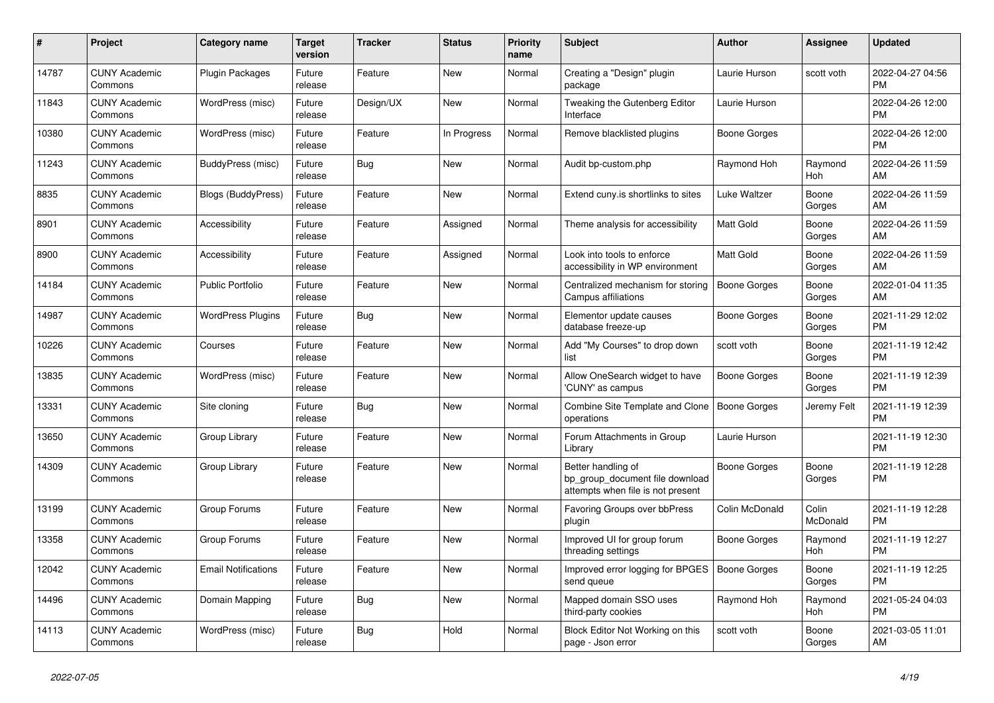| $\#$  | Project                         | <b>Category name</b>       | <b>Target</b><br>version | <b>Tracker</b> | <b>Status</b> | <b>Priority</b><br>name | <b>Subject</b>                                                                             | <b>Author</b>       | Assignee          | <b>Updated</b>                |
|-------|---------------------------------|----------------------------|--------------------------|----------------|---------------|-------------------------|--------------------------------------------------------------------------------------------|---------------------|-------------------|-------------------------------|
| 14787 | <b>CUNY Academic</b><br>Commons | <b>Plugin Packages</b>     | Future<br>release        | Feature        | New           | Normal                  | Creating a "Design" plugin<br>package                                                      | Laurie Hurson       | scott voth        | 2022-04-27 04:56<br><b>PM</b> |
| 11843 | <b>CUNY Academic</b><br>Commons | WordPress (misc)           | Future<br>release        | Design/UX      | <b>New</b>    | Normal                  | Tweaking the Gutenberg Editor<br>Interface                                                 | Laurie Hurson       |                   | 2022-04-26 12:00<br><b>PM</b> |
| 10380 | <b>CUNY Academic</b><br>Commons | WordPress (misc)           | Future<br>release        | Feature        | In Progress   | Normal                  | Remove blacklisted plugins                                                                 | Boone Gorges        |                   | 2022-04-26 12:00<br><b>PM</b> |
| 11243 | <b>CUNY Academic</b><br>Commons | BuddyPress (misc)          | Future<br>release        | Bug            | <b>New</b>    | Normal                  | Audit bp-custom.php                                                                        | Raymond Hoh         | Raymond<br>Hoh    | 2022-04-26 11:59<br>AM        |
| 8835  | <b>CUNY Academic</b><br>Commons | <b>Blogs (BuddyPress)</b>  | Future<br>release        | Feature        | <b>New</b>    | Normal                  | Extend cuny is shortlinks to sites                                                         | Luke Waltzer        | Boone<br>Gorges   | 2022-04-26 11:59<br>AM        |
| 8901  | <b>CUNY Academic</b><br>Commons | Accessibility              | Future<br>release        | Feature        | Assigned      | Normal                  | Theme analysis for accessibility                                                           | <b>Matt Gold</b>    | Boone<br>Gorges   | 2022-04-26 11:59<br>AM        |
| 8900  | <b>CUNY Academic</b><br>Commons | Accessibility              | Future<br>release        | Feature        | Assigned      | Normal                  | Look into tools to enforce<br>accessibility in WP environment                              | Matt Gold           | Boone<br>Gorges   | 2022-04-26 11:59<br>AM        |
| 14184 | <b>CUNY Academic</b><br>Commons | Public Portfolio           | Future<br>release        | Feature        | <b>New</b>    | Normal                  | Centralized mechanism for storing<br>Campus affiliations                                   | <b>Boone Gorges</b> | Boone<br>Gorges   | 2022-01-04 11:35<br>AM        |
| 14987 | <b>CUNY Academic</b><br>Commons | <b>WordPress Plugins</b>   | Future<br>release        | Bug            | New           | Normal                  | Elementor update causes<br>database freeze-up                                              | Boone Gorges        | Boone<br>Gorges   | 2021-11-29 12:02<br><b>PM</b> |
| 10226 | <b>CUNY Academic</b><br>Commons | Courses                    | Future<br>release        | Feature        | <b>New</b>    | Normal                  | Add "My Courses" to drop down<br>list                                                      | scott voth          | Boone<br>Gorges   | 2021-11-19 12:42<br><b>PM</b> |
| 13835 | <b>CUNY Academic</b><br>Commons | WordPress (misc)           | Future<br>release        | Feature        | <b>New</b>    | Normal                  | Allow OneSearch widget to have<br>'CUNY' as campus                                         | Boone Gorges        | Boone<br>Gorges   | 2021-11-19 12:39<br><b>PM</b> |
| 13331 | <b>CUNY Academic</b><br>Commons | Site cloning               | Future<br>release        | <b>Bug</b>     | New           | Normal                  | <b>Combine Site Template and Clone</b><br>operations                                       | <b>Boone Gorges</b> | Jeremy Felt       | 2021-11-19 12:39<br><b>PM</b> |
| 13650 | <b>CUNY Academic</b><br>Commons | Group Library              | Future<br>release        | Feature        | <b>New</b>    | Normal                  | Forum Attachments in Group<br>Library                                                      | Laurie Hurson       |                   | 2021-11-19 12:30<br><b>PM</b> |
| 14309 | <b>CUNY Academic</b><br>Commons | Group Library              | Future<br>release        | Feature        | <b>New</b>    | Normal                  | Better handling of<br>bp group document file download<br>attempts when file is not present | Boone Gorges        | Boone<br>Gorges   | 2021-11-19 12:28<br>PM        |
| 13199 | <b>CUNY Academic</b><br>Commons | Group Forums               | Future<br>release        | Feature        | New           | Normal                  | <b>Favoring Groups over bbPress</b><br>plugin                                              | Colin McDonald      | Colin<br>McDonald | 2021-11-19 12:28<br>PM        |
| 13358 | <b>CUNY Academic</b><br>Commons | Group Forums               | Future<br>release        | Feature        | <b>New</b>    | Normal                  | Improved UI for group forum<br>threading settings                                          | Boone Gorges        | Raymond<br>Hoh    | 2021-11-19 12:27<br><b>PM</b> |
| 12042 | <b>CUNY Academic</b><br>Commons | <b>Email Notifications</b> | Future<br>release        | Feature        | <b>New</b>    | Normal                  | Improved error logging for BPGES<br>send queue                                             | Boone Gorges        | Boone<br>Gorges   | 2021-11-19 12:25<br><b>PM</b> |
| 14496 | <b>CUNY Academic</b><br>Commons | Domain Mapping             | Future<br>release        | Bug            | <b>New</b>    | Normal                  | Mapped domain SSO uses<br>third-party cookies                                              | Raymond Hoh         | Raymond<br>Hoh    | 2021-05-24 04:03<br><b>PM</b> |
| 14113 | <b>CUNY Academic</b><br>Commons | WordPress (misc)           | Future<br>release        | Bug            | Hold          | Normal                  | Block Editor Not Working on this<br>page - Json error                                      | scott voth          | Boone<br>Gorges   | 2021-03-05 11:01<br>AM        |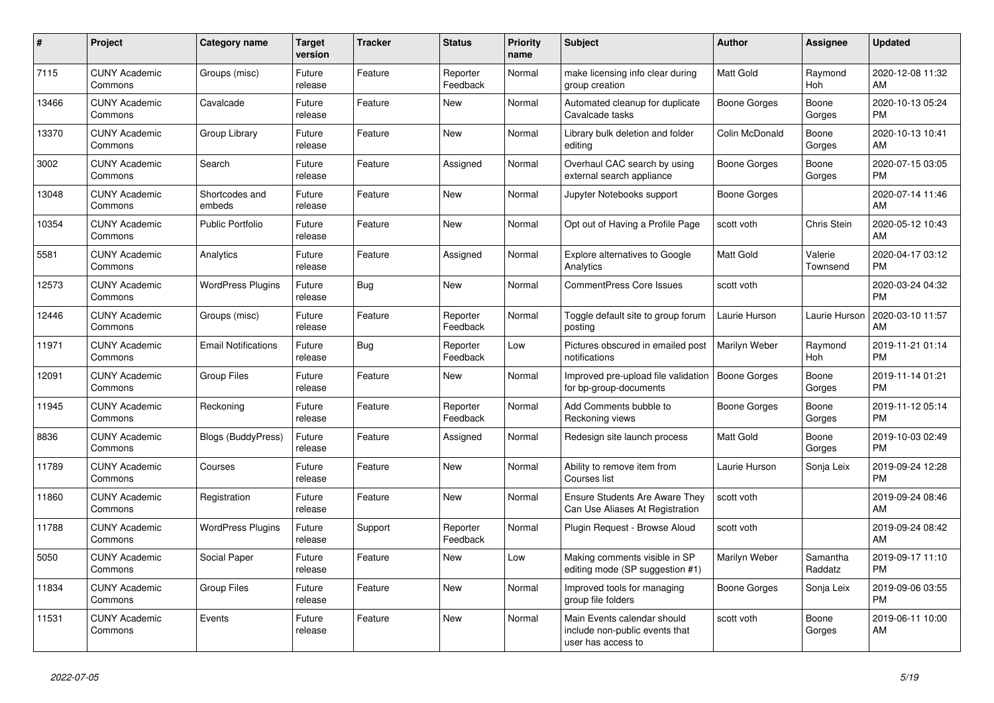| #     | <b>Project</b>                  | <b>Category name</b>       | Target<br>version | <b>Tracker</b> | <b>Status</b>        | <b>Priority</b><br>name | <b>Subject</b>                                                                      | <b>Author</b>       | Assignee            | <b>Updated</b>                |
|-------|---------------------------------|----------------------------|-------------------|----------------|----------------------|-------------------------|-------------------------------------------------------------------------------------|---------------------|---------------------|-------------------------------|
| 7115  | <b>CUNY Academic</b><br>Commons | Groups (misc)              | Future<br>release | Feature        | Reporter<br>Feedback | Normal                  | make licensing info clear during<br>group creation                                  | <b>Matt Gold</b>    | Raymond<br>Hoh      | 2020-12-08 11:32<br>AM        |
| 13466 | <b>CUNY Academic</b><br>Commons | Cavalcade                  | Future<br>release | Feature        | <b>New</b>           | Normal                  | Automated cleanup for duplicate<br>Cavalcade tasks                                  | Boone Gorges        | Boone<br>Gorges     | 2020-10-13 05:24<br><b>PM</b> |
| 13370 | <b>CUNY Academic</b><br>Commons | Group Library              | Future<br>release | Feature        | New                  | Normal                  | Library bulk deletion and folder<br>editing                                         | Colin McDonald      | Boone<br>Gorges     | 2020-10-13 10:41<br>AM.       |
| 3002  | <b>CUNY Academic</b><br>Commons | Search                     | Future<br>release | Feature        | Assigned             | Normal                  | Overhaul CAC search by using<br>external search appliance                           | Boone Gorges        | Boone<br>Gorges     | 2020-07-15 03:05<br><b>PM</b> |
| 13048 | <b>CUNY Academic</b><br>Commons | Shortcodes and<br>embeds   | Future<br>release | Feature        | New                  | Normal                  | Jupyter Notebooks support                                                           | Boone Gorges        |                     | 2020-07-14 11:46<br>AM        |
| 10354 | <b>CUNY Academic</b><br>Commons | <b>Public Portfolio</b>    | Future<br>release | Feature        | <b>New</b>           | Normal                  | Opt out of Having a Profile Page                                                    | scott voth          | Chris Stein         | 2020-05-12 10:43<br><b>AM</b> |
| 5581  | <b>CUNY Academic</b><br>Commons | Analytics                  | Future<br>release | Feature        | Assigned             | Normal                  | <b>Explore alternatives to Google</b><br>Analytics                                  | <b>Matt Gold</b>    | Valerie<br>Townsend | 2020-04-17 03:12<br><b>PM</b> |
| 12573 | <b>CUNY Academic</b><br>Commons | <b>WordPress Plugins</b>   | Future<br>release | Bug            | <b>New</b>           | Normal                  | <b>CommentPress Core Issues</b>                                                     | scott voth          |                     | 2020-03-24 04:32<br><b>PM</b> |
| 12446 | <b>CUNY Academic</b><br>Commons | Groups (misc)              | Future<br>release | Feature        | Reporter<br>Feedback | Normal                  | Toggle default site to group forum<br>posting                                       | Laurie Hurson       | Laurie Hurson       | 2020-03-10 11:57<br>AM        |
| 11971 | <b>CUNY Academic</b><br>Commons | <b>Email Notifications</b> | Future<br>release | Bug            | Reporter<br>Feedback | Low                     | Pictures obscured in emailed post<br>notifications                                  | Marilyn Weber       | Raymond<br>Hoh      | 2019-11-21 01:14<br><b>PM</b> |
| 12091 | <b>CUNY Academic</b><br>Commons | <b>Group Files</b>         | Future<br>release | Feature        | <b>New</b>           | Normal                  | Improved pre-upload file validation<br>for bp-group-documents                       | Boone Gorges        | Boone<br>Gorges     | 2019-11-14 01:21<br><b>PM</b> |
| 11945 | <b>CUNY Academic</b><br>Commons | Reckoning                  | Future<br>release | Feature        | Reporter<br>Feedback | Normal                  | Add Comments bubble to<br>Reckoning views                                           | Boone Gorges        | Boone<br>Gorges     | 2019-11-12 05:14<br><b>PM</b> |
| 8836  | <b>CUNY Academic</b><br>Commons | <b>Blogs (BuddyPress)</b>  | Future<br>release | Feature        | Assigned             | Normal                  | Redesign site launch process                                                        | <b>Matt Gold</b>    | Boone<br>Gorges     | 2019-10-03 02:49<br><b>PM</b> |
| 11789 | <b>CUNY Academic</b><br>Commons | Courses                    | Future<br>release | Feature        | <b>New</b>           | Normal                  | Ability to remove item from<br>Courses list                                         | Laurie Hurson       | Sonja Leix          | 2019-09-24 12:28<br><b>PM</b> |
| 11860 | <b>CUNY Academic</b><br>Commons | Registration               | Future<br>release | Feature        | New                  | Normal                  | <b>Ensure Students Are Aware They</b><br>Can Use Aliases At Registration            | scott voth          |                     | 2019-09-24 08:46<br>AM        |
| 11788 | <b>CUNY Academic</b><br>Commons | <b>WordPress Plugins</b>   | Future<br>release | Support        | Reporter<br>Feedback | Normal                  | Plugin Request - Browse Aloud                                                       | scott voth          |                     | 2019-09-24 08:42<br>AM        |
| 5050  | <b>CUNY Academic</b><br>Commons | Social Paper               | Future<br>release | Feature        | <b>New</b>           | Low                     | Making comments visible in SP<br>editing mode (SP suggestion #1)                    | Marilyn Weber       | Samantha<br>Raddatz | 2019-09-17 11:10<br><b>PM</b> |
| 11834 | <b>CUNY Academic</b><br>Commons | <b>Group Files</b>         | Future<br>release | Feature        | <b>New</b>           | Normal                  | Improved tools for managing<br>group file folders                                   | <b>Boone Gorges</b> | Sonja Leix          | 2019-09-06 03:55<br><b>PM</b> |
| 11531 | <b>CUNY Academic</b><br>Commons | Events                     | Future<br>release | Feature        | New                  | Normal                  | Main Events calendar should<br>include non-public events that<br>user has access to | scott voth          | Boone<br>Gorges     | 2019-06-11 10:00<br>AM        |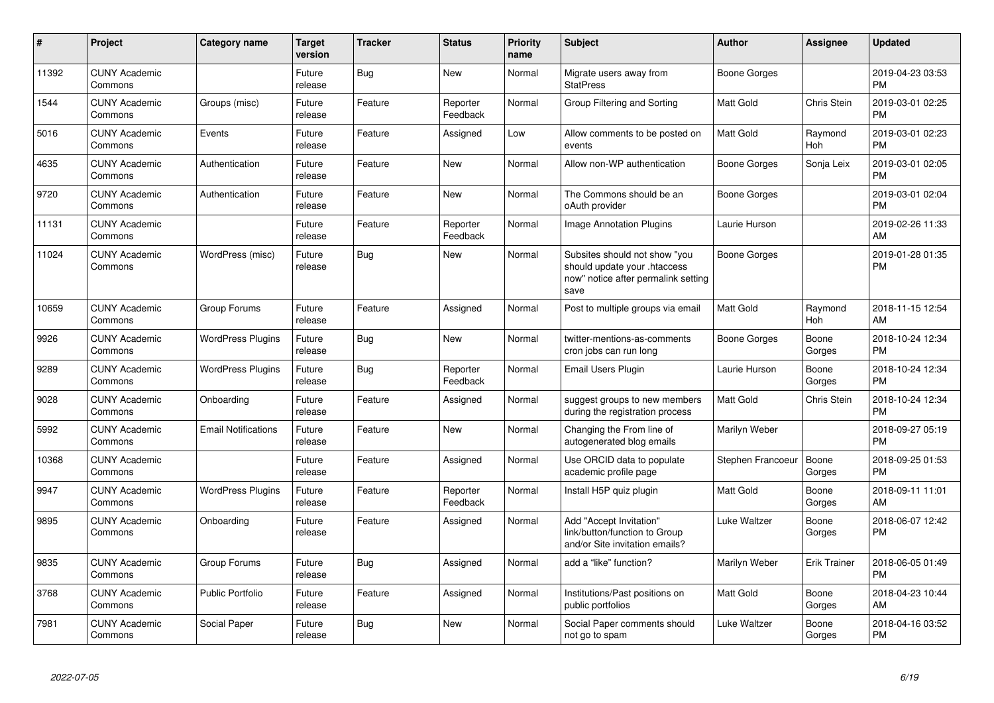| #     | Project                         | <b>Category name</b>       | <b>Target</b><br>version | <b>Tracker</b> | <b>Status</b>        | <b>Priority</b><br>name | <b>Subject</b>                                                                                               | <b>Author</b>     | Assignee            | <b>Updated</b>                |
|-------|---------------------------------|----------------------------|--------------------------|----------------|----------------------|-------------------------|--------------------------------------------------------------------------------------------------------------|-------------------|---------------------|-------------------------------|
| 11392 | <b>CUNY Academic</b><br>Commons |                            | Future<br>release        | Bug            | <b>New</b>           | Normal                  | Migrate users away from<br><b>StatPress</b>                                                                  | Boone Gorges      |                     | 2019-04-23 03:53<br><b>PM</b> |
| 1544  | <b>CUNY Academic</b><br>Commons | Groups (misc)              | Future<br>release        | Feature        | Reporter<br>Feedback | Normal                  | Group Filtering and Sorting                                                                                  | <b>Matt Gold</b>  | Chris Stein         | 2019-03-01 02:25<br><b>PM</b> |
| 5016  | <b>CUNY Academic</b><br>Commons | Events                     | Future<br>release        | Feature        | Assigned             | Low                     | Allow comments to be posted on<br>events                                                                     | <b>Matt Gold</b>  | Raymond<br>Hoh      | 2019-03-01 02:23<br><b>PM</b> |
| 4635  | <b>CUNY Academic</b><br>Commons | Authentication             | Future<br>release        | Feature        | <b>New</b>           | Normal                  | Allow non-WP authentication                                                                                  | Boone Gorges      | Sonja Leix          | 2019-03-01 02:05<br><b>PM</b> |
| 9720  | <b>CUNY Academic</b><br>Commons | Authentication             | Future<br>release        | Feature        | <b>New</b>           | Normal                  | The Commons should be an<br>oAuth provider                                                                   | Boone Gorges      |                     | 2019-03-01 02:04<br><b>PM</b> |
| 11131 | <b>CUNY Academic</b><br>Commons |                            | Future<br>release        | Feature        | Reporter<br>Feedback | Normal                  | <b>Image Annotation Plugins</b>                                                                              | Laurie Hurson     |                     | 2019-02-26 11:33<br>AM        |
| 11024 | <b>CUNY Academic</b><br>Commons | WordPress (misc)           | Future<br>release        | Bug            | New                  | Normal                  | Subsites should not show "you<br>should update your .htaccess<br>now" notice after permalink setting<br>save | Boone Gorges      |                     | 2019-01-28 01:35<br><b>PM</b> |
| 10659 | <b>CUNY Academic</b><br>Commons | Group Forums               | Future<br>release        | Feature        | Assigned             | Normal                  | Post to multiple groups via email                                                                            | <b>Matt Gold</b>  | Raymond<br>Hoh      | 2018-11-15 12:54<br>AM        |
| 9926  | <b>CUNY Academic</b><br>Commons | <b>WordPress Plugins</b>   | Future<br>release        | <b>Bug</b>     | <b>New</b>           | Normal                  | twitter-mentions-as-comments<br>cron jobs can run long                                                       | Boone Gorges      | Boone<br>Gorges     | 2018-10-24 12:34<br><b>PM</b> |
| 9289  | <b>CUNY Academic</b><br>Commons | <b>WordPress Plugins</b>   | Future<br>release        | <b>Bug</b>     | Reporter<br>Feedback | Normal                  | Email Users Plugin                                                                                           | Laurie Hurson     | Boone<br>Gorges     | 2018-10-24 12:34<br><b>PM</b> |
| 9028  | <b>CUNY Academic</b><br>Commons | Onboarding                 | Future<br>release        | Feature        | Assigned             | Normal                  | suggest groups to new members<br>during the registration process                                             | Matt Gold         | Chris Stein         | 2018-10-24 12:34<br><b>PM</b> |
| 5992  | <b>CUNY Academic</b><br>Commons | <b>Email Notifications</b> | Future<br>release        | Feature        | New                  | Normal                  | Changing the From line of<br>autogenerated blog emails                                                       | Marilyn Weber     |                     | 2018-09-27 05:19<br><b>PM</b> |
| 10368 | <b>CUNY Academic</b><br>Commons |                            | Future<br>release        | Feature        | Assigned             | Normal                  | Use ORCID data to populate<br>academic profile page                                                          | Stephen Francoeur | Boone<br>Gorges     | 2018-09-25 01:53<br><b>PM</b> |
| 9947  | <b>CUNY Academic</b><br>Commons | <b>WordPress Plugins</b>   | Future<br>release        | Feature        | Reporter<br>Feedback | Normal                  | Install H5P quiz plugin                                                                                      | <b>Matt Gold</b>  | Boone<br>Gorges     | 2018-09-11 11:01<br>AM        |
| 9895  | <b>CUNY Academic</b><br>Commons | Onboarding                 | Future<br>release        | Feature        | Assigned             | Normal                  | Add "Accept Invitation"<br>link/button/function to Group<br>and/or Site invitation emails?                   | Luke Waltzer      | Boone<br>Gorges     | 2018-06-07 12:42<br><b>PM</b> |
| 9835  | <b>CUNY Academic</b><br>Commons | Group Forums               | Future<br>release        | Bug            | Assigned             | Normal                  | add a "like" function?                                                                                       | Marilyn Weber     | <b>Erik Trainer</b> | 2018-06-05 01:49<br><b>PM</b> |
| 3768  | <b>CUNY Academic</b><br>Commons | <b>Public Portfolio</b>    | Future<br>release        | Feature        | Assigned             | Normal                  | Institutions/Past positions on<br>public portfolios                                                          | <b>Matt Gold</b>  | Boone<br>Gorges     | 2018-04-23 10:44<br>AM        |
| 7981  | <b>CUNY Academic</b><br>Commons | Social Paper               | Future<br>release        | Bug            | New                  | Normal                  | Social Paper comments should<br>not go to spam                                                               | Luke Waltzer      | Boone<br>Gorges     | 2018-04-16 03:52<br><b>PM</b> |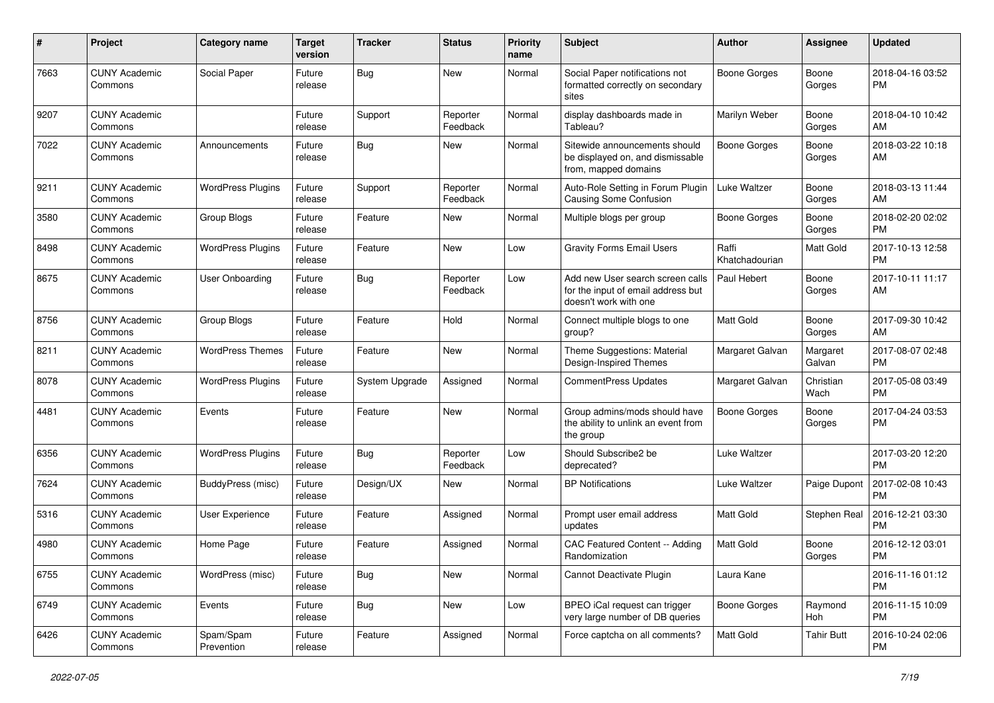| #    | Project                         | <b>Category name</b>     | <b>Target</b><br>version | <b>Tracker</b> | <b>Status</b>        | Priority<br>name | <b>Subject</b>                                                                                  | Author                  | <b>Assignee</b>    | <b>Updated</b>                |
|------|---------------------------------|--------------------------|--------------------------|----------------|----------------------|------------------|-------------------------------------------------------------------------------------------------|-------------------------|--------------------|-------------------------------|
| 7663 | <b>CUNY Academic</b><br>Commons | Social Paper             | Future<br>release        | Bug            | <b>New</b>           | Normal           | Social Paper notifications not<br>formatted correctly on secondary<br>sites                     | <b>Boone Gorges</b>     | Boone<br>Gorges    | 2018-04-16 03:52<br><b>PM</b> |
| 9207 | <b>CUNY Academic</b><br>Commons |                          | Future<br>release        | Support        | Reporter<br>Feedback | Normal           | display dashboards made in<br>Tableau?                                                          | Marilyn Weber           | Boone<br>Gorges    | 2018-04-10 10:42<br>AM        |
| 7022 | <b>CUNY Academic</b><br>Commons | Announcements            | Future<br>release        | Bug            | New                  | Normal           | Sitewide announcements should<br>be displayed on, and dismissable<br>from, mapped domains       | <b>Boone Gorges</b>     | Boone<br>Gorges    | 2018-03-22 10:18<br>AM        |
| 9211 | <b>CUNY Academic</b><br>Commons | <b>WordPress Plugins</b> | Future<br>release        | Support        | Reporter<br>Feedback | Normal           | Auto-Role Setting in Forum Plugin<br><b>Causing Some Confusion</b>                              | Luke Waltzer            | Boone<br>Gorges    | 2018-03-13 11:44<br>AM        |
| 3580 | <b>CUNY Academic</b><br>Commons | Group Blogs              | Future<br>release        | Feature        | New                  | Normal           | Multiple blogs per group                                                                        | <b>Boone Gorges</b>     | Boone<br>Gorges    | 2018-02-20 02:02<br><b>PM</b> |
| 8498 | <b>CUNY Academic</b><br>Commons | <b>WordPress Plugins</b> | Future<br>release        | Feature        | <b>New</b>           | Low              | <b>Gravity Forms Email Users</b>                                                                | Raffi<br>Khatchadourian | Matt Gold          | 2017-10-13 12:58<br><b>PM</b> |
| 8675 | <b>CUNY Academic</b><br>Commons | User Onboarding          | Future<br>release        | <b>Bug</b>     | Reporter<br>Feedback | Low              | Add new User search screen calls<br>for the input of email address but<br>doesn't work with one | Paul Hebert             | Boone<br>Gorges    | 2017-10-11 11:17<br>AM        |
| 8756 | <b>CUNY Academic</b><br>Commons | Group Blogs              | Future<br>release        | Feature        | Hold                 | Normal           | Connect multiple blogs to one<br>group?                                                         | <b>Matt Gold</b>        | Boone<br>Gorges    | 2017-09-30 10:42<br>AM        |
| 8211 | <b>CUNY Academic</b><br>Commons | <b>WordPress Themes</b>  | Future<br>release        | Feature        | <b>New</b>           | Normal           | Theme Suggestions: Material<br>Design-Inspired Themes                                           | Margaret Galvan         | Margaret<br>Galvan | 2017-08-07 02:48<br><b>PM</b> |
| 8078 | <b>CUNY Academic</b><br>Commons | <b>WordPress Plugins</b> | Future<br>release        | System Upgrade | Assigned             | Normal           | <b>CommentPress Updates</b>                                                                     | Margaret Galvan         | Christian<br>Wach  | 2017-05-08 03:49<br><b>PM</b> |
| 4481 | <b>CUNY Academic</b><br>Commons | Events                   | Future<br>release        | Feature        | <b>New</b>           | Normal           | Group admins/mods should have<br>the ability to unlink an event from<br>the group               | <b>Boone Gorges</b>     | Boone<br>Gorges    | 2017-04-24 03:53<br><b>PM</b> |
| 6356 | <b>CUNY Academic</b><br>Commons | <b>WordPress Plugins</b> | Future<br>release        | Bug            | Reporter<br>Feedback | Low              | Should Subscribe2 be<br>deprecated?                                                             | Luke Waltzer            |                    | 2017-03-20 12:20<br><b>PM</b> |
| 7624 | <b>CUNY Academic</b><br>Commons | BuddyPress (misc)        | Future<br>release        | Design/UX      | <b>New</b>           | Normal           | <b>BP Notifications</b>                                                                         | Luke Waltzer            | Paige Dupont       | 2017-02-08 10:43<br><b>PM</b> |
| 5316 | <b>CUNY Academic</b><br>Commons | User Experience          | Future<br>release        | Feature        | Assigned             | Normal           | Prompt user email address<br>updates                                                            | Matt Gold               | Stephen Real       | 2016-12-21 03:30<br><b>PM</b> |
| 4980 | <b>CUNY Academic</b><br>Commons | Home Page                | Future<br>release        | Feature        | Assigned             | Normal           | <b>CAC Featured Content -- Adding</b><br>Randomization                                          | <b>Matt Gold</b>        | Boone<br>Gorges    | 2016-12-12 03:01<br><b>PM</b> |
| 6755 | <b>CUNY Academic</b><br>Commons | WordPress (misc)         | Future<br>release        | Bug            | New                  | Normal           | Cannot Deactivate Plugin                                                                        | Laura Kane              |                    | 2016-11-16 01:12<br><b>PM</b> |
| 6749 | <b>CUNY Academic</b><br>Commons | Events                   | Future<br>release        | Bug            | New                  | Low              | BPEO iCal request can trigger<br>very large number of DB queries                                | <b>Boone Gorges</b>     | Raymond<br>Hoh     | 2016-11-15 10:09<br>PM        |
| 6426 | <b>CUNY Academic</b><br>Commons | Spam/Spam<br>Prevention  | Future<br>release        | Feature        | Assigned             | Normal           | Force captcha on all comments?                                                                  | Matt Gold               | <b>Tahir Butt</b>  | 2016-10-24 02:06<br>PM        |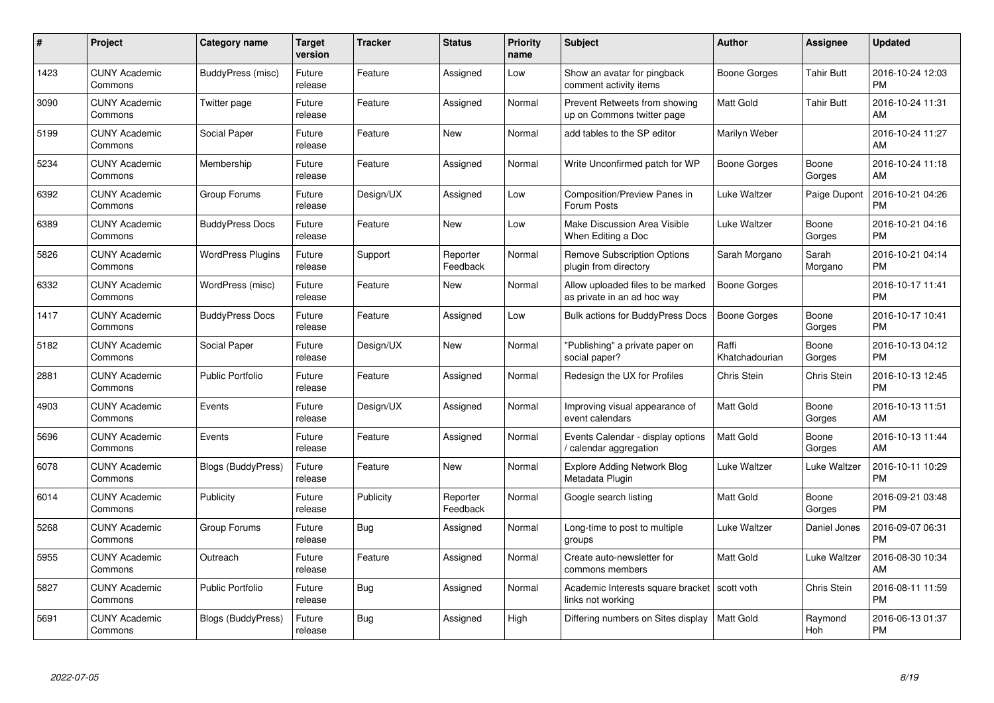| #    | Project                         | <b>Category name</b>     | <b>Target</b><br>version | <b>Tracker</b> | <b>Status</b>        | <b>Priority</b><br>name | <b>Subject</b>                                                   | <b>Author</b>           | Assignee         | <b>Updated</b>                |
|------|---------------------------------|--------------------------|--------------------------|----------------|----------------------|-------------------------|------------------------------------------------------------------|-------------------------|------------------|-------------------------------|
| 1423 | <b>CUNY Academic</b><br>Commons | BuddyPress (misc)        | Future<br>release        | Feature        | Assigned             | Low                     | Show an avatar for pingback<br>comment activity items            | Boone Gorges            | Tahir Butt       | 2016-10-24 12:03<br><b>PM</b> |
| 3090 | <b>CUNY Academic</b><br>Commons | Twitter page             | Future<br>release        | Feature        | Assigned             | Normal                  | Prevent Retweets from showing<br>up on Commons twitter page      | Matt Gold               | Tahir Butt       | 2016-10-24 11:31<br>AM        |
| 5199 | <b>CUNY Academic</b><br>Commons | Social Paper             | Future<br>release        | Feature        | <b>New</b>           | Normal                  | add tables to the SP editor                                      | Marilyn Weber           |                  | 2016-10-24 11:27<br>AM        |
| 5234 | <b>CUNY Academic</b><br>Commons | Membership               | Future<br>release        | Feature        | Assigned             | Normal                  | Write Unconfirmed patch for WP                                   | Boone Gorges            | Boone<br>Gorges  | 2016-10-24 11:18<br>AM        |
| 6392 | <b>CUNY Academic</b><br>Commons | Group Forums             | Future<br>release        | Design/UX      | Assigned             | Low                     | Composition/Preview Panes in<br>Forum Posts                      | Luke Waltzer            | Paige Dupont     | 2016-10-21 04:26<br><b>PM</b> |
| 6389 | <b>CUNY Academic</b><br>Commons | <b>BuddyPress Docs</b>   | Future<br>release        | Feature        | New                  | Low                     | Make Discussion Area Visible<br>When Editing a Doc               | Luke Waltzer            | Boone<br>Gorges  | 2016-10-21 04:16<br><b>PM</b> |
| 5826 | <b>CUNY Academic</b><br>Commons | <b>WordPress Plugins</b> | Future<br>release        | Support        | Reporter<br>Feedback | Normal                  | <b>Remove Subscription Options</b><br>plugin from directory      | Sarah Morgano           | Sarah<br>Morgano | 2016-10-21 04:14<br><b>PM</b> |
| 6332 | <b>CUNY Academic</b><br>Commons | WordPress (misc)         | Future<br>release        | Feature        | <b>New</b>           | Normal                  | Allow uploaded files to be marked<br>as private in an ad hoc way | Boone Gorges            |                  | 2016-10-17 11:41<br><b>PM</b> |
| 1417 | <b>CUNY Academic</b><br>Commons | <b>BuddyPress Docs</b>   | Future<br>release        | Feature        | Assigned             | Low                     | <b>Bulk actions for BuddyPress Docs</b>                          | <b>Boone Gorges</b>     | Boone<br>Gorges  | 2016-10-17 10:41<br><b>PM</b> |
| 5182 | <b>CUNY Academic</b><br>Commons | Social Paper             | Future<br>release        | Design/UX      | New                  | Normal                  | "Publishing" a private paper on<br>social paper?                 | Raffi<br>Khatchadourian | Boone<br>Gorges  | 2016-10-13 04:12<br><b>PM</b> |
| 2881 | <b>CUNY Academic</b><br>Commons | <b>Public Portfolio</b>  | Future<br>release        | Feature        | Assigned             | Normal                  | Redesign the UX for Profiles                                     | Chris Stein             | Chris Stein      | 2016-10-13 12:45<br><b>PM</b> |
| 4903 | <b>CUNY Academic</b><br>Commons | Events                   | Future<br>release        | Design/UX      | Assigned             | Normal                  | Improving visual appearance of<br>event calendars                | <b>Matt Gold</b>        | Boone<br>Gorges  | 2016-10-13 11:51<br>AM        |
| 5696 | <b>CUNY Academic</b><br>Commons | Events                   | Future<br>release        | Feature        | Assigned             | Normal                  | Events Calendar - display options<br>calendar aggregation        | <b>Matt Gold</b>        | Boone<br>Gorges  | 2016-10-13 11:44<br>AM        |
| 6078 | <b>CUNY Academic</b><br>Commons | Blogs (BuddyPress)       | Future<br>release        | Feature        | New                  | Normal                  | Explore Adding Network Blog<br>Metadata Plugin                   | Luke Waltzer            | Luke Waltzer     | 2016-10-11 10:29<br><b>PM</b> |
| 6014 | <b>CUNY Academic</b><br>Commons | Publicity                | Future<br>release        | Publicity      | Reporter<br>Feedback | Normal                  | Google search listing                                            | Matt Gold               | Boone<br>Gorges  | 2016-09-21 03:48<br><b>PM</b> |
| 5268 | <b>CUNY Academic</b><br>Commons | Group Forums             | Future<br>release        | Bug            | Assigned             | Normal                  | Long-time to post to multiple<br>groups                          | Luke Waltzer            | Daniel Jones     | 2016-09-07 06:31<br><b>PM</b> |
| 5955 | <b>CUNY Academic</b><br>Commons | Outreach                 | Future<br>release        | Feature        | Assigned             | Normal                  | Create auto-newsletter for<br>commons members                    | <b>Matt Gold</b>        | Luke Waltzer     | 2016-08-30 10:34<br>AM        |
| 5827 | <b>CUNY Academic</b><br>Commons | Public Portfolio         | Future<br>release        | <b>Bug</b>     | Assigned             | Normal                  | Academic Interests square bracket<br>links not working           | scott voth              | Chris Stein      | 2016-08-11 11:59<br><b>PM</b> |
| 5691 | CUNY Academic<br>Commons        | Blogs (BuddyPress)       | Future<br>release        | Bug            | Assigned             | High                    | Differing numbers on Sites display                               | <b>Matt Gold</b>        | Raymond<br>Hoh   | 2016-06-13 01:37<br><b>PM</b> |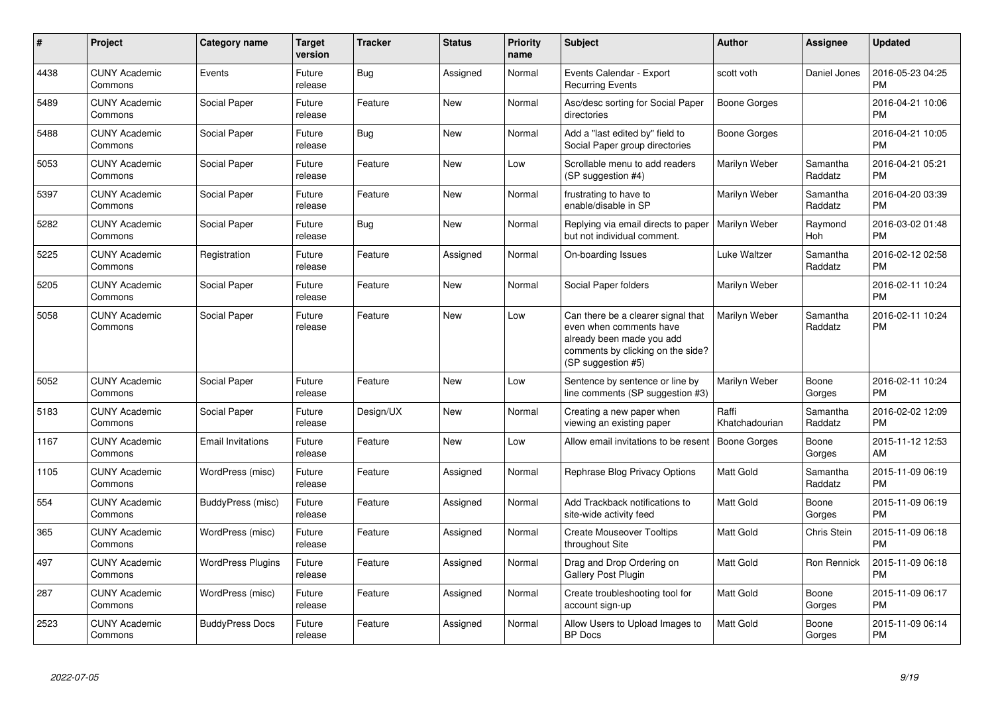| $\pmb{\#}$ | Project                         | <b>Category name</b>     | <b>Target</b><br>version | <b>Tracker</b> | <b>Status</b> | <b>Priority</b><br>name | <b>Subject</b>                                                                                                                                        | <b>Author</b>           | Assignee            | <b>Updated</b>                |
|------------|---------------------------------|--------------------------|--------------------------|----------------|---------------|-------------------------|-------------------------------------------------------------------------------------------------------------------------------------------------------|-------------------------|---------------------|-------------------------------|
| 4438       | <b>CUNY Academic</b><br>Commons | Events                   | Future<br>release        | <b>Bug</b>     | Assigned      | Normal                  | Events Calendar - Export<br><b>Recurring Events</b>                                                                                                   | scott voth              | Daniel Jones        | 2016-05-23 04:25<br><b>PM</b> |
| 5489       | <b>CUNY Academic</b><br>Commons | Social Paper             | Future<br>release        | Feature        | <b>New</b>    | Normal                  | Asc/desc sorting for Social Paper<br>directories                                                                                                      | <b>Boone Gorges</b>     |                     | 2016-04-21 10:06<br><b>PM</b> |
| 5488       | <b>CUNY Academic</b><br>Commons | Social Paper             | Future<br>release        | Bug            | New           | Normal                  | Add a "last edited by" field to<br>Social Paper group directories                                                                                     | Boone Gorges            |                     | 2016-04-21 10:05<br><b>PM</b> |
| 5053       | <b>CUNY Academic</b><br>Commons | Social Paper             | Future<br>release        | Feature        | New           | Low                     | Scrollable menu to add readers<br>(SP suggestion #4)                                                                                                  | Marilyn Weber           | Samantha<br>Raddatz | 2016-04-21 05:21<br><b>PM</b> |
| 5397       | <b>CUNY Academic</b><br>Commons | Social Paper             | Future<br>release        | Feature        | New           | Normal                  | frustrating to have to<br>enable/disable in SP                                                                                                        | Marilyn Weber           | Samantha<br>Raddatz | 2016-04-20 03:39<br><b>PM</b> |
| 5282       | <b>CUNY Academic</b><br>Commons | Social Paper             | Future<br>release        | Bug            | New           | Normal                  | Replying via email directs to paper<br>but not individual comment.                                                                                    | Marilyn Weber           | Raymond<br>Hoh      | 2016-03-02 01:48<br><b>PM</b> |
| 5225       | <b>CUNY Academic</b><br>Commons | Registration             | Future<br>release        | Feature        | Assigned      | Normal                  | On-boarding Issues                                                                                                                                    | Luke Waltzer            | Samantha<br>Raddatz | 2016-02-12 02:58<br><b>PM</b> |
| 5205       | <b>CUNY Academic</b><br>Commons | Social Paper             | Future<br>release        | Feature        | <b>New</b>    | Normal                  | Social Paper folders                                                                                                                                  | Marilyn Weber           |                     | 2016-02-11 10:24<br><b>PM</b> |
| 5058       | <b>CUNY Academic</b><br>Commons | Social Paper             | Future<br>release        | Feature        | <b>New</b>    | Low                     | Can there be a clearer signal that<br>even when comments have<br>already been made you add<br>comments by clicking on the side?<br>(SP suggestion #5) | Marilyn Weber           | Samantha<br>Raddatz | 2016-02-11 10:24<br><b>PM</b> |
| 5052       | <b>CUNY Academic</b><br>Commons | Social Paper             | Future<br>release        | Feature        | <b>New</b>    | Low                     | Sentence by sentence or line by<br>line comments (SP suggestion #3)                                                                                   | Marilyn Weber           | Boone<br>Gorges     | 2016-02-11 10:24<br><b>PM</b> |
| 5183       | <b>CUNY Academic</b><br>Commons | Social Paper             | Future<br>release        | Design/UX      | <b>New</b>    | Normal                  | Creating a new paper when<br>viewing an existing paper                                                                                                | Raffi<br>Khatchadourian | Samantha<br>Raddatz | 2016-02-02 12:09<br><b>PM</b> |
| 1167       | <b>CUNY Academic</b><br>Commons | <b>Email Invitations</b> | Future<br>release        | Feature        | <b>New</b>    | Low                     | Allow email invitations to be resent                                                                                                                  | Boone Gorges            | Boone<br>Gorges     | 2015-11-12 12:53<br>AM        |
| 1105       | <b>CUNY Academic</b><br>Commons | WordPress (misc)         | Future<br>release        | Feature        | Assigned      | Normal                  | Rephrase Blog Privacy Options                                                                                                                         | <b>Matt Gold</b>        | Samantha<br>Raddatz | 2015-11-09 06:19<br><b>PM</b> |
| 554        | <b>CUNY Academic</b><br>Commons | BuddyPress (misc)        | Future<br>release        | Feature        | Assigned      | Normal                  | Add Trackback notifications to<br>site-wide activity feed                                                                                             | Matt Gold               | Boone<br>Gorges     | 2015-11-09 06:19<br><b>PM</b> |
| 365        | <b>CUNY Academic</b><br>Commons | WordPress (misc)         | Future<br>release        | Feature        | Assigned      | Normal                  | <b>Create Mouseover Tooltips</b><br>throughout Site                                                                                                   | Matt Gold               | Chris Stein         | 2015-11-09 06:18<br><b>PM</b> |
| 497        | <b>CUNY Academic</b><br>Commons | <b>WordPress Plugins</b> | Future<br>release        | Feature        | Assigned      | Normal                  | Drag and Drop Ordering on<br>Gallery Post Plugin                                                                                                      | <b>Matt Gold</b>        | Ron Rennick         | 2015-11-09 06:18<br><b>PM</b> |
| 287        | <b>CUNY Academic</b><br>Commons | WordPress (misc)         | Future<br>release        | Feature        | Assigned      | Normal                  | Create troubleshooting tool for<br>account sign-up                                                                                                    | <b>Matt Gold</b>        | Boone<br>Gorges     | 2015-11-09 06:17<br><b>PM</b> |
| 2523       | <b>CUNY Academic</b><br>Commons | <b>BuddyPress Docs</b>   | Future<br>release        | Feature        | Assigned      | Normal                  | Allow Users to Upload Images to<br><b>BP</b> Docs                                                                                                     | <b>Matt Gold</b>        | Boone<br>Gorges     | 2015-11-09 06:14<br><b>PM</b> |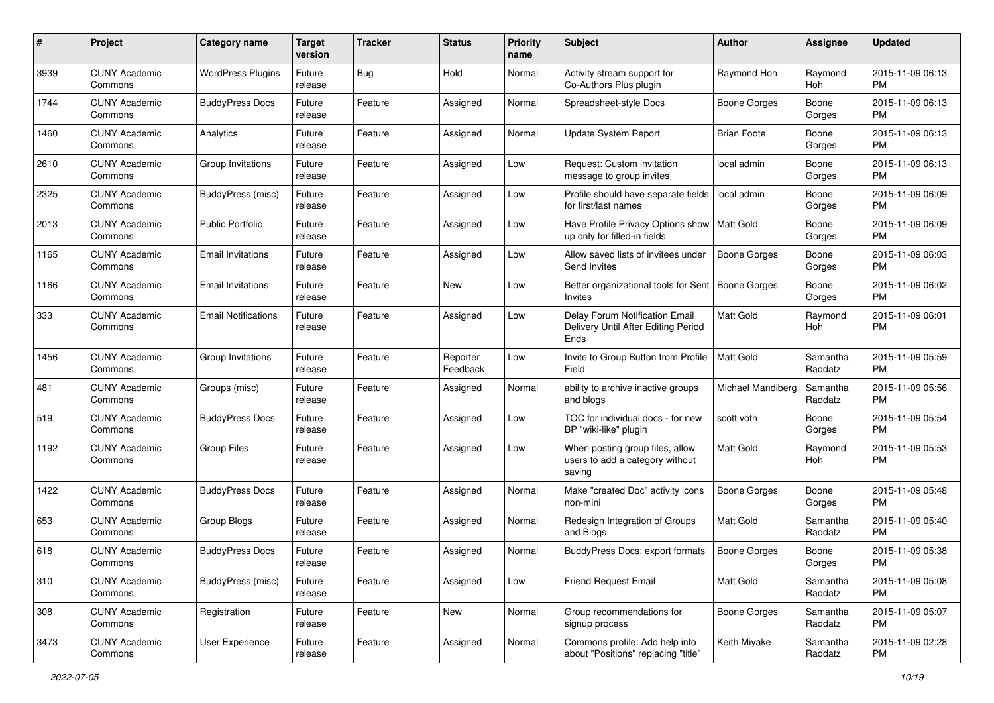| #    | Project                         | <b>Category name</b>       | <b>Target</b><br>version | <b>Tracker</b> | <b>Status</b>        | <b>Priority</b><br>name | <b>Subject</b>                                                                | Author              | Assignee            | <b>Updated</b>                |
|------|---------------------------------|----------------------------|--------------------------|----------------|----------------------|-------------------------|-------------------------------------------------------------------------------|---------------------|---------------------|-------------------------------|
| 3939 | <b>CUNY Academic</b><br>Commons | <b>WordPress Plugins</b>   | Future<br>release        | <b>Bug</b>     | Hold                 | Normal                  | Activity stream support for<br>Co-Authors Plus plugin                         | Raymond Hoh         | Raymond<br>Hoh      | 2015-11-09 06:13<br><b>PM</b> |
| 1744 | <b>CUNY Academic</b><br>Commons | <b>BuddyPress Docs</b>     | Future<br>release        | Feature        | Assigned             | Normal                  | Spreadsheet-style Docs                                                        | Boone Gorges        | Boone<br>Gorges     | 2015-11-09 06:13<br><b>PM</b> |
| 1460 | <b>CUNY Academic</b><br>Commons | Analytics                  | Future<br>release        | Feature        | Assigned             | Normal                  | <b>Update System Report</b>                                                   | <b>Brian Foote</b>  | Boone<br>Gorges     | 2015-11-09 06:13<br><b>PM</b> |
| 2610 | <b>CUNY Academic</b><br>Commons | Group Invitations          | Future<br>release        | Feature        | Assigned             | Low                     | Request: Custom invitation<br>message to group invites                        | local admin         | Boone<br>Gorges     | 2015-11-09 06:13<br><b>PM</b> |
| 2325 | <b>CUNY Academic</b><br>Commons | BuddyPress (misc)          | Future<br>release        | Feature        | Assigned             | Low                     | Profile should have separate fields<br>for first/last names                   | local admin         | Boone<br>Gorges     | 2015-11-09 06:09<br><b>PM</b> |
| 2013 | <b>CUNY Academic</b><br>Commons | <b>Public Portfolio</b>    | Future<br>release        | Feature        | Assigned             | Low                     | Have Profile Privacy Options show<br>up only for filled-in fields             | Matt Gold           | Boone<br>Gorges     | 2015-11-09 06:09<br><b>PM</b> |
| 1165 | <b>CUNY Academic</b><br>Commons | <b>Email Invitations</b>   | Future<br>release        | Feature        | Assigned             | Low                     | Allow saved lists of invitees under<br>Send Invites                           | <b>Boone Gorges</b> | Boone<br>Gorges     | 2015-11-09 06:03<br><b>PM</b> |
| 1166 | <b>CUNY Academic</b><br>Commons | <b>Email Invitations</b>   | Future<br>release        | Feature        | New                  | Low                     | Better organizational tools for Sent<br>Invites                               | Boone Gorges        | Boone<br>Gorges     | 2015-11-09 06:02<br>PM        |
| 333  | <b>CUNY Academic</b><br>Commons | <b>Email Notifications</b> | Future<br>release        | Feature        | Assigned             | Low                     | Delay Forum Notification Email<br>Delivery Until After Editing Period<br>Ends | Matt Gold           | Raymond<br>Hoh      | 2015-11-09 06:01<br><b>PM</b> |
| 1456 | <b>CUNY Academic</b><br>Commons | Group Invitations          | Future<br>release        | Feature        | Reporter<br>Feedback | Low                     | Invite to Group Button from Profile<br>Field                                  | Matt Gold           | Samantha<br>Raddatz | 2015-11-09 05:59<br><b>PM</b> |
| 481  | <b>CUNY Academic</b><br>Commons | Groups (misc)              | Future<br>release        | Feature        | Assigned             | Normal                  | ability to archive inactive groups<br>and blogs                               | Michael Mandiberg   | Samantha<br>Raddatz | 2015-11-09 05:56<br><b>PM</b> |
| 519  | <b>CUNY Academic</b><br>Commons | <b>BuddyPress Docs</b>     | Future<br>release        | Feature        | Assigned             | Low                     | TOC for individual docs - for new<br>BP "wiki-like" plugin                    | scott voth          | Boone<br>Gorges     | 2015-11-09 05:54<br><b>PM</b> |
| 1192 | <b>CUNY Academic</b><br>Commons | <b>Group Files</b>         | Future<br>release        | Feature        | Assigned             | Low                     | When posting group files, allow<br>users to add a category without<br>saving  | <b>Matt Gold</b>    | Raymond<br>Hoh      | 2015-11-09 05:53<br><b>PM</b> |
| 1422 | <b>CUNY Academic</b><br>Commons | <b>BuddyPress Docs</b>     | Future<br>release        | Feature        | Assigned             | Normal                  | Make "created Doc" activity icons<br>non-mini                                 | Boone Gorges        | Boone<br>Gorges     | 2015-11-09 05:48<br><b>PM</b> |
| 653  | <b>CUNY Academic</b><br>Commons | Group Blogs                | Future<br>release        | Feature        | Assigned             | Normal                  | Redesign Integration of Groups<br>and Blogs                                   | <b>Matt Gold</b>    | Samantha<br>Raddatz | 2015-11-09 05:40<br><b>PM</b> |
| 618  | <b>CUNY Academic</b><br>Commons | <b>BuddyPress Docs</b>     | Future<br>release        | Feature        | Assigned             | Normal                  | BuddyPress Docs: export formats                                               | <b>Boone Gorges</b> | Boone<br>Gorges     | 2015-11-09 05:38<br>PM        |
| 310  | <b>CUNY Academic</b><br>Commons | BuddyPress (misc)          | Future<br>release        | Feature        | Assigned             | Low                     | <b>Friend Request Email</b>                                                   | Matt Gold           | Samantha<br>Raddatz | 2015-11-09 05:08<br><b>PM</b> |
| 308  | <b>CUNY Academic</b><br>Commons | Registration               | Future<br>release        | Feature        | New                  | Normal                  | Group recommendations for<br>signup process                                   | <b>Boone Gorges</b> | Samantha<br>Raddatz | 2015-11-09 05:07<br><b>PM</b> |
| 3473 | <b>CUNY Academic</b><br>Commons | User Experience            | Future<br>release        | Feature        | Assigned             | Normal                  | Commons profile: Add help info<br>about "Positions" replacing "title"         | Keith Miyake        | Samantha<br>Raddatz | 2015-11-09 02:28<br>PM        |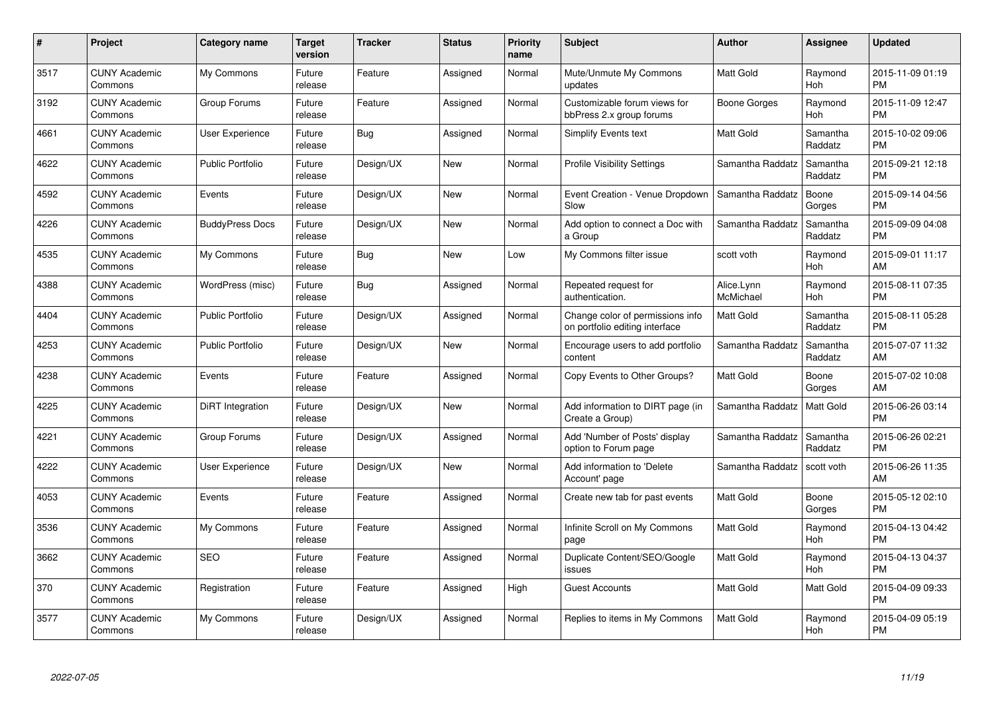| $\#$ | Project                         | <b>Category name</b>    | <b>Target</b><br>version | <b>Tracker</b> | <b>Status</b> | <b>Priority</b><br>name | <b>Subject</b>                                                     | <b>Author</b>           | Assignee            | <b>Updated</b>                |
|------|---------------------------------|-------------------------|--------------------------|----------------|---------------|-------------------------|--------------------------------------------------------------------|-------------------------|---------------------|-------------------------------|
| 3517 | <b>CUNY Academic</b><br>Commons | My Commons              | Future<br>release        | Feature        | Assigned      | Normal                  | Mute/Unmute My Commons<br>updates                                  | <b>Matt Gold</b>        | Raymond<br>Hoh      | 2015-11-09 01:19<br><b>PM</b> |
| 3192 | <b>CUNY Academic</b><br>Commons | Group Forums            | Future<br>release        | Feature        | Assigned      | Normal                  | Customizable forum views for<br>bbPress 2.x group forums           | Boone Gorges            | Raymond<br>Hoh      | 2015-11-09 12:47<br><b>PM</b> |
| 4661 | <b>CUNY Academic</b><br>Commons | User Experience         | Future<br>release        | Bug            | Assigned      | Normal                  | <b>Simplify Events text</b>                                        | Matt Gold               | Samantha<br>Raddatz | 2015-10-02 09:06<br><b>PM</b> |
| 4622 | CUNY Academic<br>Commons        | <b>Public Portfolio</b> | Future<br>release        | Design/UX      | New           | Normal                  | <b>Profile Visibility Settings</b>                                 | Samantha Raddatz        | Samantha<br>Raddatz | 2015-09-21 12:18<br><b>PM</b> |
| 4592 | <b>CUNY Academic</b><br>Commons | Events                  | Future<br>release        | Design/UX      | <b>New</b>    | Normal                  | Event Creation - Venue Dropdown<br>Slow                            | Samantha Raddatz        | Boone<br>Gorges     | 2015-09-14 04:56<br><b>PM</b> |
| 4226 | <b>CUNY Academic</b><br>Commons | <b>BuddyPress Docs</b>  | Future<br>release        | Design/UX      | New           | Normal                  | Add option to connect a Doc with<br>a Group                        | Samantha Raddatz        | Samantha<br>Raddatz | 2015-09-09 04:08<br><b>PM</b> |
| 4535 | <b>CUNY Academic</b><br>Commons | My Commons              | Future<br>release        | <b>Bug</b>     | <b>New</b>    | Low                     | My Commons filter issue                                            | scott voth              | Raymond<br>Hoh      | 2015-09-01 11:17<br>AM        |
| 4388 | <b>CUNY Academic</b><br>Commons | WordPress (misc)        | Future<br>release        | Bug            | Assigned      | Normal                  | Repeated request for<br>authentication.                            | Alice.Lynn<br>McMichael | Raymond<br>Hoh      | 2015-08-11 07:35<br><b>PM</b> |
| 4404 | <b>CUNY Academic</b><br>Commons | <b>Public Portfolio</b> | Future<br>release        | Design/UX      | Assigned      | Normal                  | Change color of permissions info<br>on portfolio editing interface | <b>Matt Gold</b>        | Samantha<br>Raddatz | 2015-08-11 05:28<br><b>PM</b> |
| 4253 | <b>CUNY Academic</b><br>Commons | <b>Public Portfolio</b> | Future<br>release        | Design/UX      | New           | Normal                  | Encourage users to add portfolio<br>content                        | Samantha Raddatz        | Samantha<br>Raddatz | 2015-07-07 11:32<br>AM        |
| 4238 | <b>CUNY Academic</b><br>Commons | Events                  | Future<br>release        | Feature        | Assigned      | Normal                  | Copy Events to Other Groups?                                       | Matt Gold               | Boone<br>Gorges     | 2015-07-02 10:08<br>AM        |
| 4225 | <b>CUNY Academic</b><br>Commons | DiRT Integration        | Future<br>release        | Design/UX      | New           | Normal                  | Add information to DIRT page (in<br>Create a Group)                | Samantha Raddatz        | Matt Gold           | 2015-06-26 03:14<br><b>PM</b> |
| 4221 | <b>CUNY Academic</b><br>Commons | Group Forums            | Future<br>release        | Design/UX      | Assigned      | Normal                  | Add 'Number of Posts' display<br>option to Forum page              | Samantha Raddatz        | Samantha<br>Raddatz | 2015-06-26 02:21<br><b>PM</b> |
| 4222 | <b>CUNY Academic</b><br>Commons | <b>User Experience</b>  | Future<br>release        | Design/UX      | New           | Normal                  | Add information to 'Delete<br>Account' page                        | Samantha Raddatz        | scott voth          | 2015-06-26 11:35<br>AM        |
| 4053 | <b>CUNY Academic</b><br>Commons | Events                  | Future<br>release        | Feature        | Assigned      | Normal                  | Create new tab for past events                                     | Matt Gold               | Boone<br>Gorges     | 2015-05-12 02:10<br><b>PM</b> |
| 3536 | <b>CUNY Academic</b><br>Commons | My Commons              | Future<br>release        | Feature        | Assigned      | Normal                  | Infinite Scroll on My Commons<br>page                              | Matt Gold               | Raymond<br>Hoh      | 2015-04-13 04:42<br><b>PM</b> |
| 3662 | <b>CUNY Academic</b><br>Commons | <b>SEO</b>              | Future<br>release        | Feature        | Assigned      | Normal                  | Duplicate Content/SEO/Google<br>issues                             | Matt Gold               | Raymond<br>Hoh      | 2015-04-13 04:37<br><b>PM</b> |
| 370  | <b>CUNY Academic</b><br>Commons | Registration            | Future<br>release        | Feature        | Assigned      | High                    | <b>Guest Accounts</b>                                              | Matt Gold               | Matt Gold           | 2015-04-09 09:33<br><b>PM</b> |
| 3577 | CUNY Academic<br>Commons        | My Commons              | Future<br>release        | Design/UX      | Assigned      | Normal                  | Replies to items in My Commons                                     | <b>Matt Gold</b>        | Raymond<br>Hoh      | 2015-04-09 05:19<br><b>PM</b> |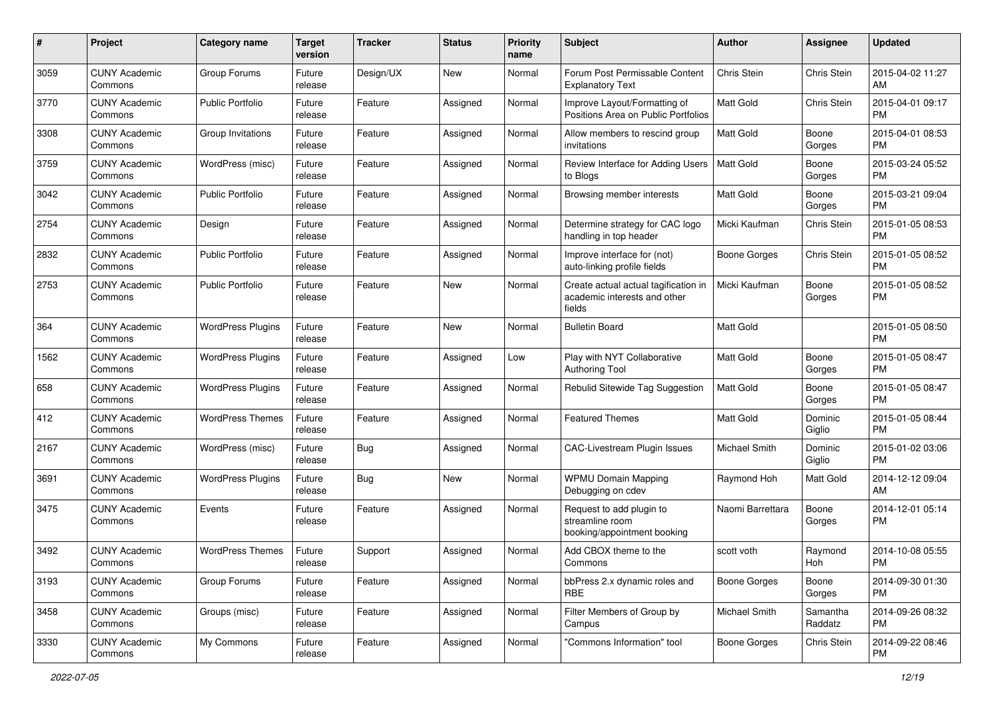| #    | Project                         | <b>Category name</b>     | <b>Target</b><br>version | <b>Tracker</b> | <b>Status</b> | <b>Priority</b><br>name | <b>Subject</b>                                                                 | Author               | <b>Assignee</b>     | <b>Updated</b>                |
|------|---------------------------------|--------------------------|--------------------------|----------------|---------------|-------------------------|--------------------------------------------------------------------------------|----------------------|---------------------|-------------------------------|
| 3059 | <b>CUNY Academic</b><br>Commons | Group Forums             | Future<br>release        | Design/UX      | New           | Normal                  | Forum Post Permissable Content<br><b>Explanatory Text</b>                      | Chris Stein          | Chris Stein         | 2015-04-02 11:27<br>AM        |
| 3770 | <b>CUNY Academic</b><br>Commons | <b>Public Portfolio</b>  | Future<br>release        | Feature        | Assigned      | Normal                  | Improve Layout/Formatting of<br>Positions Area on Public Portfolios            | Matt Gold            | Chris Stein         | 2015-04-01 09:17<br><b>PM</b> |
| 3308 | <b>CUNY Academic</b><br>Commons | Group Invitations        | Future<br>release        | Feature        | Assigned      | Normal                  | Allow members to rescind group<br>invitations                                  | Matt Gold            | Boone<br>Gorges     | 2015-04-01 08:53<br><b>PM</b> |
| 3759 | <b>CUNY Academic</b><br>Commons | WordPress (misc)         | Future<br>release        | Feature        | Assigned      | Normal                  | Review Interface for Adding Users<br>to Blogs                                  | Matt Gold            | Boone<br>Gorges     | 2015-03-24 05:52<br><b>PM</b> |
| 3042 | <b>CUNY Academic</b><br>Commons | <b>Public Portfolio</b>  | Future<br>release        | Feature        | Assigned      | Normal                  | Browsing member interests                                                      | <b>Matt Gold</b>     | Boone<br>Gorges     | 2015-03-21 09:04<br><b>PM</b> |
| 2754 | <b>CUNY Academic</b><br>Commons | Design                   | Future<br>release        | Feature        | Assigned      | Normal                  | Determine strategy for CAC logo<br>handling in top header                      | Micki Kaufman        | Chris Stein         | 2015-01-05 08:53<br><b>PM</b> |
| 2832 | <b>CUNY Academic</b><br>Commons | <b>Public Portfolio</b>  | Future<br>release        | Feature        | Assigned      | Normal                  | Improve interface for (not)<br>auto-linking profile fields                     | Boone Gorges         | Chris Stein         | 2015-01-05 08:52<br><b>PM</b> |
| 2753 | <b>CUNY Academic</b><br>Commons | <b>Public Portfolio</b>  | Future<br>release        | Feature        | New           | Normal                  | Create actual actual tagification in<br>academic interests and other<br>fields | Micki Kaufman        | Boone<br>Gorges     | 2015-01-05 08:52<br>PM.       |
| 364  | <b>CUNY Academic</b><br>Commons | <b>WordPress Plugins</b> | Future<br>release        | Feature        | <b>New</b>    | Normal                  | <b>Bulletin Board</b>                                                          | <b>Matt Gold</b>     |                     | 2015-01-05 08:50<br><b>PM</b> |
| 1562 | <b>CUNY Academic</b><br>Commons | <b>WordPress Plugins</b> | Future<br>release        | Feature        | Assigned      | Low                     | Play with NYT Collaborative<br>Authoring Tool                                  | <b>Matt Gold</b>     | Boone<br>Gorges     | 2015-01-05 08:47<br><b>PM</b> |
| 658  | <b>CUNY Academic</b><br>Commons | <b>WordPress Plugins</b> | Future<br>release        | Feature        | Assigned      | Normal                  | Rebulid Sitewide Tag Suggestion                                                | Matt Gold            | Boone<br>Gorges     | 2015-01-05 08:47<br><b>PM</b> |
| 412  | <b>CUNY Academic</b><br>Commons | <b>WordPress Themes</b>  | Future<br>release        | Feature        | Assigned      | Normal                  | Featured Themes                                                                | <b>Matt Gold</b>     | Dominic<br>Giglio   | 2015-01-05 08:44<br><b>PM</b> |
| 2167 | <b>CUNY Academic</b><br>Commons | WordPress (misc)         | Future<br>release        | Bug            | Assigned      | Normal                  | <b>CAC-Livestream Plugin Issues</b>                                            | Michael Smith        | Dominic<br>Giglio   | 2015-01-02 03:06<br><b>PM</b> |
| 3691 | <b>CUNY Academic</b><br>Commons | <b>WordPress Plugins</b> | Future<br>release        | Bug            | New           | Normal                  | <b>WPMU Domain Mapping</b><br>Debugging on cdev                                | Raymond Hoh          | Matt Gold           | 2014-12-12 09:04<br>AM        |
| 3475 | <b>CUNY Academic</b><br>Commons | Events                   | Future<br>release        | Feature        | Assigned      | Normal                  | Request to add plugin to<br>streamline room<br>booking/appointment booking     | Naomi Barrettara     | Boone<br>Gorges     | 2014-12-01 05:14<br><b>PM</b> |
| 3492 | <b>CUNY Academic</b><br>Commons | <b>WordPress Themes</b>  | Future<br>release        | Support        | Assigned      | Normal                  | Add CBOX theme to the<br>Commons                                               | scott voth           | Raymond<br>Hoh      | 2014-10-08 05:55<br>PM        |
| 3193 | <b>CUNY Academic</b><br>Commons | Group Forums             | Future<br>release        | Feature        | Assigned      | Normal                  | bbPress 2.x dynamic roles and<br>RBE                                           | <b>Boone Gorges</b>  | Boone<br>Gorges     | 2014-09-30 01:30<br><b>PM</b> |
| 3458 | <b>CUNY Academic</b><br>Commons | Groups (misc)            | Future<br>release        | Feature        | Assigned      | Normal                  | Filter Members of Group by<br>Campus                                           | <b>Michael Smith</b> | Samantha<br>Raddatz | 2014-09-26 08:32<br><b>PM</b> |
| 3330 | <b>CUNY Academic</b><br>Commons | My Commons               | Future<br>release        | Feature        | Assigned      | Normal                  | "Commons Information" tool                                                     | Boone Gorges         | Chris Stein         | 2014-09-22 08:46<br>PM        |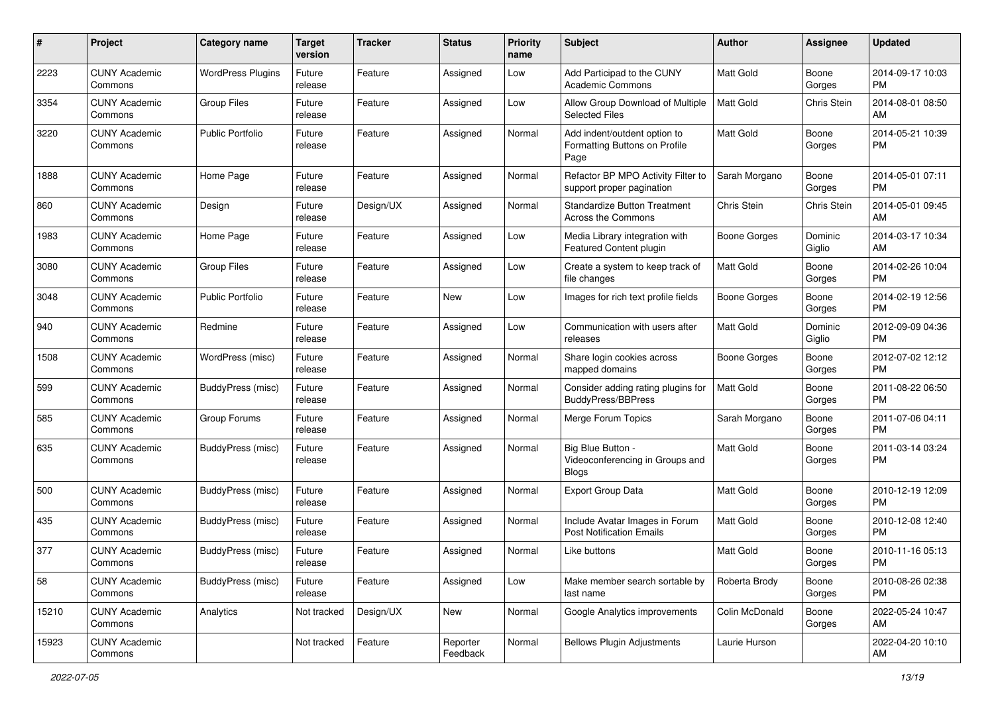| #     | Project                         | <b>Category name</b>     | <b>Target</b><br>version | <b>Tracker</b> | <b>Status</b>        | <b>Priority</b><br>name | Subject                                                               | Author           | Assignee           | <b>Updated</b>                |
|-------|---------------------------------|--------------------------|--------------------------|----------------|----------------------|-------------------------|-----------------------------------------------------------------------|------------------|--------------------|-------------------------------|
| 2223  | <b>CUNY Academic</b><br>Commons | <b>WordPress Plugins</b> | Future<br>release        | Feature        | Assigned             | Low                     | Add Participad to the CUNY<br><b>Academic Commons</b>                 | Matt Gold        | Boone<br>Gorges    | 2014-09-17 10:03<br>PM        |
| 3354  | <b>CUNY Academic</b><br>Commons | <b>Group Files</b>       | Future<br>release        | Feature        | Assigned             | Low                     | Allow Group Download of Multiple<br>Selected Files                    | <b>Matt Gold</b> | <b>Chris Stein</b> | 2014-08-01 08:50<br>AM        |
| 3220  | <b>CUNY Academic</b><br>Commons | <b>Public Portfolio</b>  | Future<br>release        | Feature        | Assigned             | Normal                  | Add indent/outdent option to<br>Formatting Buttons on Profile<br>Page | Matt Gold        | Boone<br>Gorges    | 2014-05-21 10:39<br><b>PM</b> |
| 1888  | <b>CUNY Academic</b><br>Commons | Home Page                | Future<br>release        | Feature        | Assigned             | Normal                  | Refactor BP MPO Activity Filter to<br>support proper pagination       | Sarah Morgano    | Boone<br>Gorges    | 2014-05-01 07:11<br><b>PM</b> |
| 860   | <b>CUNY Academic</b><br>Commons | Design                   | Future<br>release        | Design/UX      | Assigned             | Normal                  | <b>Standardize Button Treatment</b><br>Across the Commons             | Chris Stein      | Chris Stein        | 2014-05-01 09:45<br>AM        |
| 1983  | <b>CUNY Academic</b><br>Commons | Home Page                | Future<br>release        | Feature        | Assigned             | Low                     | Media Library integration with<br>Featured Content plugin             | Boone Gorges     | Dominic<br>Giglio  | 2014-03-17 10:34<br>AM        |
| 3080  | <b>CUNY Academic</b><br>Commons | <b>Group Files</b>       | Future<br>release        | Feature        | Assigned             | Low                     | Create a system to keep track of<br>file changes                      | <b>Matt Gold</b> | Boone<br>Gorges    | 2014-02-26 10:04<br><b>PM</b> |
| 3048  | <b>CUNY Academic</b><br>Commons | <b>Public Portfolio</b>  | Future<br>release        | Feature        | New                  | Low                     | Images for rich text profile fields                                   | Boone Gorges     | Boone<br>Gorges    | 2014-02-19 12:56<br><b>PM</b> |
| 940   | <b>CUNY Academic</b><br>Commons | Redmine                  | Future<br>release        | Feature        | Assigned             | Low                     | Communication with users after<br>releases                            | <b>Matt Gold</b> | Dominic<br>Giglio  | 2012-09-09 04:36<br><b>PM</b> |
| 1508  | <b>CUNY Academic</b><br>Commons | WordPress (misc)         | Future<br>release        | Feature        | Assigned             | Normal                  | Share login cookies across<br>mapped domains                          | Boone Gorges     | Boone<br>Gorges    | 2012-07-02 12:12<br><b>PM</b> |
| 599   | <b>CUNY Academic</b><br>Commons | BuddyPress (misc)        | Future<br>release        | Feature        | Assigned             | Normal                  | Consider adding rating plugins for<br><b>BuddyPress/BBPress</b>       | Matt Gold        | Boone<br>Gorges    | 2011-08-22 06:50<br><b>PM</b> |
| 585   | <b>CUNY Academic</b><br>Commons | Group Forums             | Future<br>release        | Feature        | Assigned             | Normal                  | Merge Forum Topics                                                    | Sarah Morgano    | Boone<br>Gorges    | 2011-07-06 04:11<br><b>PM</b> |
| 635   | <b>CUNY Academic</b><br>Commons | BuddyPress (misc)        | Future<br>release        | Feature        | Assigned             | Normal                  | Big Blue Button -<br>Videoconferencing in Groups and<br><b>Blogs</b>  | <b>Matt Gold</b> | Boone<br>Gorges    | 2011-03-14 03:24<br><b>PM</b> |
| 500   | <b>CUNY Academic</b><br>Commons | BuddyPress (misc)        | Future<br>release        | Feature        | Assigned             | Normal                  | <b>Export Group Data</b>                                              | Matt Gold        | Boone<br>Gorges    | 2010-12-19 12:09<br><b>PM</b> |
| 435   | <b>CUNY Academic</b><br>Commons | BuddyPress (misc)        | Future<br>release        | Feature        | Assigned             | Normal                  | Include Avatar Images in Forum<br><b>Post Notification Emails</b>     | <b>Matt Gold</b> | Boone<br>Gorges    | 2010-12-08 12:40<br><b>PM</b> |
| 377   | <b>CUNY Academic</b><br>Commons | BuddyPress (misc)        | Future<br>release        | Feature        | Assigned             | Normal                  | Like buttons                                                          | Matt Gold        | Boone<br>Gorges    | 2010-11-16 05:13<br>PM        |
| 58    | <b>CUNY Academic</b><br>Commons | BuddyPress (misc)        | Future<br>release        | Feature        | Assigned             | Low                     | Make member search sortable by<br>last name                           | Roberta Brody    | Boone<br>Gorges    | 2010-08-26 02:38<br><b>PM</b> |
| 15210 | <b>CUNY Academic</b><br>Commons | Analytics                | Not tracked              | Design/UX      | New                  | Normal                  | Google Analytics improvements                                         | Colin McDonald   | Boone<br>Gorges    | 2022-05-24 10:47<br>AM        |
| 15923 | <b>CUNY Academic</b><br>Commons |                          | Not tracked              | Feature        | Reporter<br>Feedback | Normal                  | <b>Bellows Plugin Adjustments</b>                                     | Laurie Hurson    |                    | 2022-04-20 10:10<br>AM        |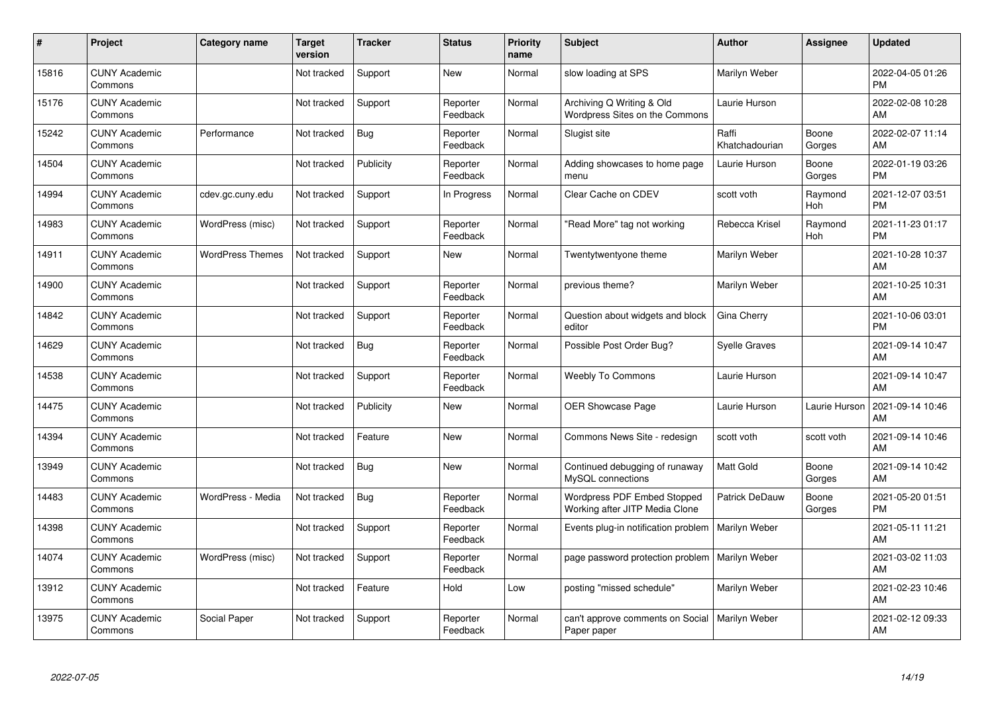| $\#$  | Project                         | <b>Category name</b>    | <b>Target</b><br>version | <b>Tracker</b> | <b>Status</b>        | <b>Priority</b><br>name | <b>Subject</b>                                                | <b>Author</b>           | <b>Assignee</b> | <b>Updated</b>                |
|-------|---------------------------------|-------------------------|--------------------------|----------------|----------------------|-------------------------|---------------------------------------------------------------|-------------------------|-----------------|-------------------------------|
| 15816 | <b>CUNY Academic</b><br>Commons |                         | Not tracked              | Support        | <b>New</b>           | Normal                  | slow loading at SPS                                           | Marilyn Weber           |                 | 2022-04-05 01:26<br><b>PM</b> |
| 15176 | <b>CUNY Academic</b><br>Commons |                         | Not tracked              | Support        | Reporter<br>Feedback | Normal                  | Archiving Q Writing & Old<br>Wordpress Sites on the Commons   | Laurie Hurson           |                 | 2022-02-08 10:28<br>AM        |
| 15242 | <b>CUNY Academic</b><br>Commons | Performance             | Not tracked              | Bug            | Reporter<br>Feedback | Normal                  | Slugist site                                                  | Raffi<br>Khatchadourian | Boone<br>Gorges | 2022-02-07 11:14<br>AM        |
| 14504 | <b>CUNY Academic</b><br>Commons |                         | Not tracked              | Publicity      | Reporter<br>Feedback | Normal                  | Adding showcases to home page<br>menu                         | Laurie Hurson           | Boone<br>Gorges | 2022-01-19 03:26<br><b>PM</b> |
| 14994 | <b>CUNY Academic</b><br>Commons | cdev.gc.cuny.edu        | Not tracked              | Support        | In Progress          | Normal                  | Clear Cache on CDEV                                           | scott voth              | Raymond<br>Hoh  | 2021-12-07 03:51<br><b>PM</b> |
| 14983 | <b>CUNY Academic</b><br>Commons | WordPress (misc)        | Not tracked              | Support        | Reporter<br>Feedback | Normal                  | "Read More" tag not working                                   | Rebecca Krisel          | Raymond<br>Hoh  | 2021-11-23 01:17<br><b>PM</b> |
| 14911 | <b>CUNY Academic</b><br>Commons | <b>WordPress Themes</b> | Not tracked              | Support        | <b>New</b>           | Normal                  | Twentytwentyone theme                                         | Marilyn Weber           |                 | 2021-10-28 10:37<br><b>AM</b> |
| 14900 | <b>CUNY Academic</b><br>Commons |                         | Not tracked              | Support        | Reporter<br>Feedback | Normal                  | previous theme?                                               | Marilyn Weber           |                 | 2021-10-25 10:31<br>AM        |
| 14842 | <b>CUNY Academic</b><br>Commons |                         | Not tracked              | Support        | Reporter<br>Feedback | Normal                  | Question about widgets and block<br>editor                    | Gina Cherry             |                 | 2021-10-06 03:01<br><b>PM</b> |
| 14629 | <b>CUNY Academic</b><br>Commons |                         | Not tracked              | Bug            | Reporter<br>Feedback | Normal                  | Possible Post Order Bug?                                      | <b>Syelle Graves</b>    |                 | 2021-09-14 10:47<br>AM        |
| 14538 | <b>CUNY Academic</b><br>Commons |                         | Not tracked              | Support        | Reporter<br>Feedback | Normal                  | <b>Weebly To Commons</b>                                      | Laurie Hurson           |                 | 2021-09-14 10:47<br>AM        |
| 14475 | <b>CUNY Academic</b><br>Commons |                         | Not tracked              | Publicity      | New                  | Normal                  | OER Showcase Page                                             | Laurie Hurson           | Laurie Hurson   | 2021-09-14 10:46<br>AM        |
| 14394 | <b>CUNY Academic</b><br>Commons |                         | Not tracked              | Feature        | <b>New</b>           | Normal                  | Commons News Site - redesign                                  | scott voth              | scott voth      | 2021-09-14 10:46<br>AM        |
| 13949 | <b>CUNY Academic</b><br>Commons |                         | Not tracked              | Bug            | <b>New</b>           | Normal                  | Continued debugging of runaway<br>MySQL connections           | <b>Matt Gold</b>        | Boone<br>Gorges | 2021-09-14 10:42<br>AM        |
| 14483 | <b>CUNY Academic</b><br>Commons | WordPress - Media       | Not tracked              | <b>Bug</b>     | Reporter<br>Feedback | Normal                  | Wordpress PDF Embed Stopped<br>Working after JITP Media Clone | Patrick DeDauw          | Boone<br>Gorges | 2021-05-20 01:51<br><b>PM</b> |
| 14398 | <b>CUNY Academic</b><br>Commons |                         | Not tracked              | Support        | Reporter<br>Feedback | Normal                  | Events plug-in notification problem                           | Marilyn Weber           |                 | 2021-05-11 11:21<br><b>AM</b> |
| 14074 | <b>CUNY Academic</b><br>Commons | WordPress (misc)        | Not tracked              | Support        | Reporter<br>Feedback | Normal                  | page password protection problem   Marilyn Weber              |                         |                 | 2021-03-02 11:03<br>AM        |
| 13912 | <b>CUNY Academic</b><br>Commons |                         | Not tracked              | Feature        | Hold                 | Low                     | posting "missed schedule"                                     | Marilyn Weber           |                 | 2021-02-23 10:46<br>AM        |
| 13975 | <b>CUNY Academic</b><br>Commons | Social Paper            | Not tracked              | Support        | Reporter<br>Feedback | Normal                  | can't approve comments on Social<br>Paper paper               | Marilyn Weber           |                 | 2021-02-12 09:33<br>AM        |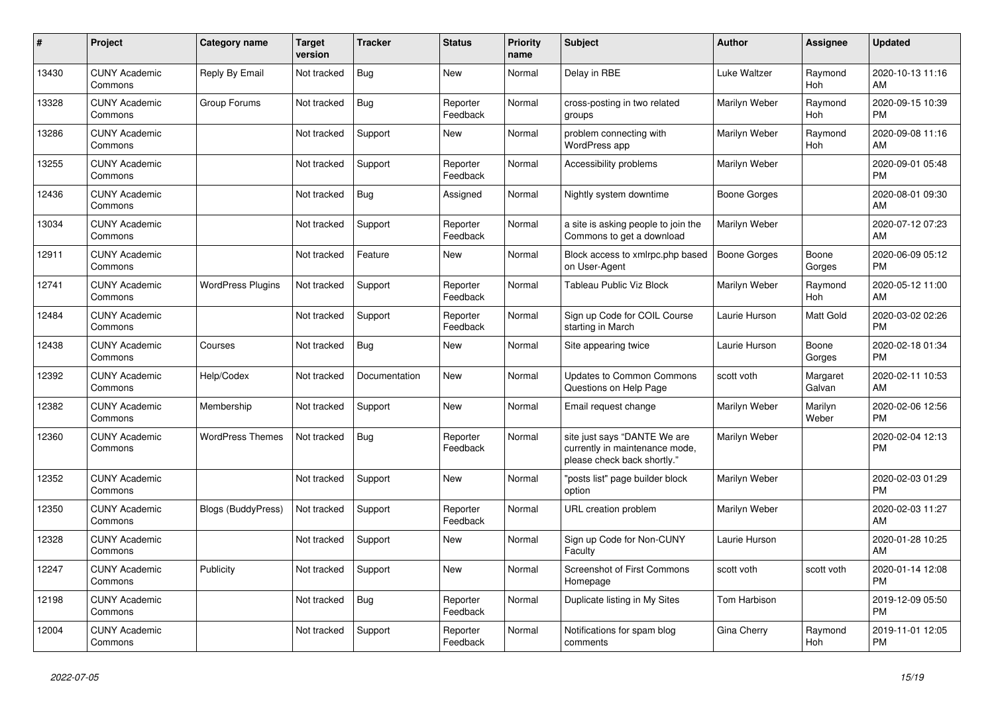| $\vert$ # | <b>Project</b>                  | Category name            | <b>Target</b><br>version | <b>Tracker</b> | <b>Status</b>        | Priority<br>name | <b>Subject</b>                                                                                | <b>Author</b>       | Assignee           | <b>Updated</b>                |
|-----------|---------------------------------|--------------------------|--------------------------|----------------|----------------------|------------------|-----------------------------------------------------------------------------------------------|---------------------|--------------------|-------------------------------|
| 13430     | <b>CUNY Academic</b><br>Commons | Reply By Email           | Not tracked              | Bug            | New                  | Normal           | Delay in RBE                                                                                  | Luke Waltzer        | Raymond<br>Hoh     | 2020-10-13 11:16<br>AM        |
| 13328     | <b>CUNY Academic</b><br>Commons | Group Forums             | Not tracked              | Bug            | Reporter<br>Feedback | Normal           | cross-posting in two related<br>groups                                                        | Marilyn Weber       | Raymond<br>Hoh     | 2020-09-15 10:39<br><b>PM</b> |
| 13286     | <b>CUNY Academic</b><br>Commons |                          | Not tracked              | Support        | <b>New</b>           | Normal           | problem connecting with<br><b>WordPress app</b>                                               | Marilyn Weber       | Raymond<br>Hoh     | 2020-09-08 11:16<br>AM        |
| 13255     | <b>CUNY Academic</b><br>Commons |                          | Not tracked              | Support        | Reporter<br>Feedback | Normal           | Accessibility problems                                                                        | Marilyn Weber       |                    | 2020-09-01 05:48<br><b>PM</b> |
| 12436     | <b>CUNY Academic</b><br>Commons |                          | Not tracked              | Bug            | Assigned             | Normal           | Nightly system downtime                                                                       | Boone Gorges        |                    | 2020-08-01 09:30<br>AM        |
| 13034     | <b>CUNY Academic</b><br>Commons |                          | Not tracked              | Support        | Reporter<br>Feedback | Normal           | a site is asking people to join the<br>Commons to get a download                              | Marilyn Weber       |                    | 2020-07-12 07:23<br>AM        |
| 12911     | <b>CUNY Academic</b><br>Commons |                          | Not tracked              | Feature        | <b>New</b>           | Normal           | Block access to xmlrpc.php based<br>on User-Agent                                             | <b>Boone Gorges</b> | Boone<br>Gorges    | 2020-06-09 05:12<br><b>PM</b> |
| 12741     | <b>CUNY Academic</b><br>Commons | <b>WordPress Plugins</b> | Not tracked              | Support        | Reporter<br>Feedback | Normal           | Tableau Public Viz Block                                                                      | Marilyn Weber       | Raymond<br>Hoh     | 2020-05-12 11:00<br>AM        |
| 12484     | <b>CUNY Academic</b><br>Commons |                          | Not tracked              | Support        | Reporter<br>Feedback | Normal           | Sign up Code for COIL Course<br>starting in March                                             | Laurie Hurson       | Matt Gold          | 2020-03-02 02:26<br><b>PM</b> |
| 12438     | <b>CUNY Academic</b><br>Commons | Courses                  | Not tracked              | <b>Bug</b>     | <b>New</b>           | Normal           | Site appearing twice                                                                          | Laurie Hurson       | Boone<br>Gorges    | 2020-02-18 01:34<br><b>PM</b> |
| 12392     | <b>CUNY Academic</b><br>Commons | Help/Codex               | Not tracked              | Documentation  | New                  | Normal           | <b>Updates to Common Commons</b><br>Questions on Help Page                                    | scott voth          | Margaret<br>Galvan | 2020-02-11 10:53<br>AM        |
| 12382     | <b>CUNY Academic</b><br>Commons | Membership               | Not tracked              | Support        | New                  | Normal           | Email request change                                                                          | Marilyn Weber       | Marilyn<br>Weber   | 2020-02-06 12:56<br><b>PM</b> |
| 12360     | <b>CUNY Academic</b><br>Commons | <b>WordPress Themes</b>  | Not tracked              | Bug            | Reporter<br>Feedback | Normal           | site just says "DANTE We are<br>currently in maintenance mode,<br>please check back shortly." | Marilyn Weber       |                    | 2020-02-04 12:13<br><b>PM</b> |
| 12352     | <b>CUNY Academic</b><br>Commons |                          | Not tracked              | Support        | New                  | Normal           | "posts list" page builder block<br>option                                                     | Marilyn Weber       |                    | 2020-02-03 01:29<br><b>PM</b> |
| 12350     | <b>CUNY Academic</b><br>Commons | Blogs (BuddyPress)       | Not tracked              | Support        | Reporter<br>Feedback | Normal           | URL creation problem                                                                          | Marilyn Weber       |                    | 2020-02-03 11:27<br>AM        |
| 12328     | <b>CUNY Academic</b><br>Commons |                          | Not tracked              | Support        | <b>New</b>           | Normal           | Sign up Code for Non-CUNY<br>Faculty                                                          | Laurie Hurson       |                    | 2020-01-28 10:25<br>AM        |
| 12247     | <b>CUNY Academic</b><br>Commons | Publicity                | Not tracked              | Support        | <b>New</b>           | Normal           | <b>Screenshot of First Commons</b><br>Homepage                                                | scott voth          | scott voth         | 2020-01-14 12:08<br><b>PM</b> |
| 12198     | <b>CUNY Academic</b><br>Commons |                          | Not tracked              | Bug            | Reporter<br>Feedback | Normal           | Duplicate listing in My Sites                                                                 | <b>Tom Harbison</b> |                    | 2019-12-09 05:50<br><b>PM</b> |
| 12004     | <b>CUNY Academic</b><br>Commons |                          | Not tracked              | Support        | Reporter<br>Feedback | Normal           | Notifications for spam blog<br>comments                                                       | Gina Cherry         | Raymond<br>Hoh     | 2019-11-01 12:05<br><b>PM</b> |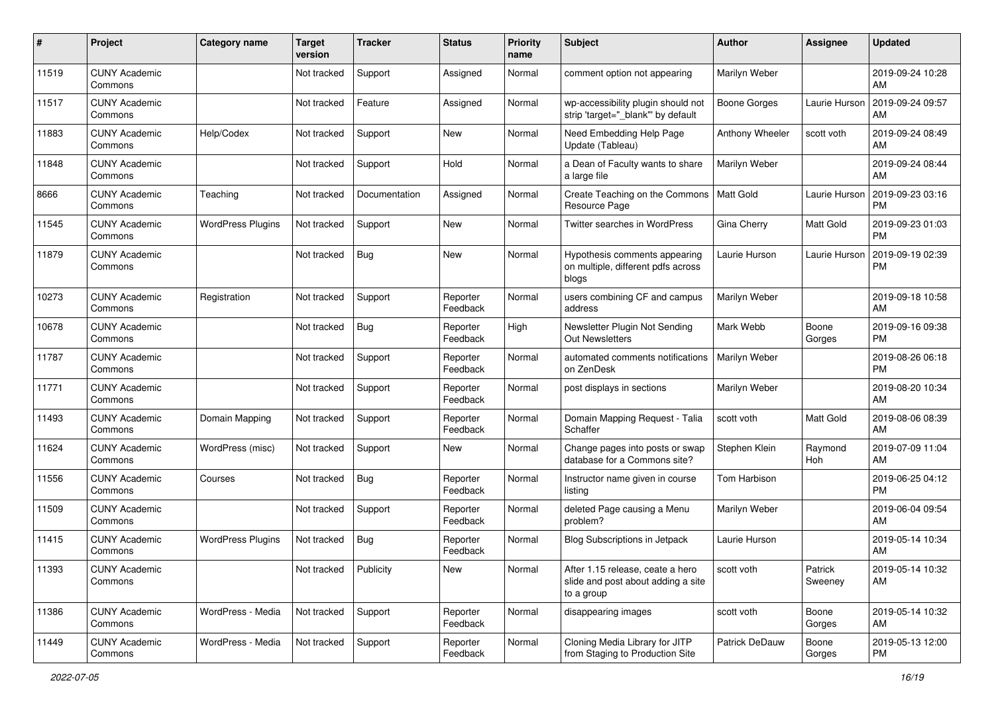| #     | Project                         | Category name            | <b>Target</b><br>version | <b>Tracker</b> | <b>Status</b>        | Priority<br>name | <b>Subject</b>                                                                       | <b>Author</b>       | <b>Assignee</b>    | <b>Updated</b>                |
|-------|---------------------------------|--------------------------|--------------------------|----------------|----------------------|------------------|--------------------------------------------------------------------------------------|---------------------|--------------------|-------------------------------|
| 11519 | <b>CUNY Academic</b><br>Commons |                          | Not tracked              | Support        | Assigned             | Normal           | comment option not appearing                                                         | Marilyn Weber       |                    | 2019-09-24 10:28<br>AM        |
| 11517 | <b>CUNY Academic</b><br>Commons |                          | Not tracked              | Feature        | Assigned             | Normal           | wp-accessibility plugin should not<br>strip 'target="_blank" by default              | <b>Boone Gorges</b> | Laurie Hurson      | 2019-09-24 09:57<br>AM        |
| 11883 | <b>CUNY Academic</b><br>Commons | Help/Codex               | Not tracked              | Support        | New                  | Normal           | Need Embedding Help Page<br>Update (Tableau)                                         | Anthony Wheeler     | scott voth         | 2019-09-24 08:49<br>AM        |
| 11848 | <b>CUNY Academic</b><br>Commons |                          | Not tracked              | Support        | Hold                 | Normal           | a Dean of Faculty wants to share<br>a large file                                     | Marilyn Weber       |                    | 2019-09-24 08:44<br>AM        |
| 8666  | <b>CUNY Academic</b><br>Commons | Teaching                 | Not tracked              | Documentation  | Assigned             | Normal           | Create Teaching on the Commons<br>Resource Page                                      | Matt Gold           | Laurie Hurson      | 2019-09-23 03:16<br><b>PM</b> |
| 11545 | <b>CUNY Academic</b><br>Commons | <b>WordPress Plugins</b> | Not tracked              | Support        | New                  | Normal           | Twitter searches in WordPress                                                        | Gina Cherry         | Matt Gold          | 2019-09-23 01:03<br><b>PM</b> |
| 11879 | <b>CUNY Academic</b><br>Commons |                          | Not tracked              | <b>Bug</b>     | <b>New</b>           | Normal           | Hypothesis comments appearing<br>on multiple, different pdfs across<br>blogs         | Laurie Hurson       | Laurie Hurson      | 2019-09-19 02:39<br><b>PM</b> |
| 10273 | <b>CUNY Academic</b><br>Commons | Registration             | Not tracked              | Support        | Reporter<br>Feedback | Normal           | users combining CF and campus<br>address                                             | Marilyn Weber       |                    | 2019-09-18 10:58<br>AM        |
| 10678 | <b>CUNY Academic</b><br>Commons |                          | Not tracked              | Bug            | Reporter<br>Feedback | High             | Newsletter Plugin Not Sending<br><b>Out Newsletters</b>                              | Mark Webb           | Boone<br>Gorges    | 2019-09-16 09:38<br><b>PM</b> |
| 11787 | <b>CUNY Academic</b><br>Commons |                          | Not tracked              | Support        | Reporter<br>Feedback | Normal           | automated comments notifications<br>on ZenDesk                                       | Marilyn Weber       |                    | 2019-08-26 06:18<br><b>PM</b> |
| 11771 | <b>CUNY Academic</b><br>Commons |                          | Not tracked              | Support        | Reporter<br>Feedback | Normal           | post displays in sections                                                            | Marilyn Weber       |                    | 2019-08-20 10:34<br>AM        |
| 11493 | <b>CUNY Academic</b><br>Commons | Domain Mapping           | Not tracked              | Support        | Reporter<br>Feedback | Normal           | Domain Mapping Request - Talia<br>Schaffer                                           | scott voth          | Matt Gold          | 2019-08-06 08:39<br>AM        |
| 11624 | <b>CUNY Academic</b><br>Commons | WordPress (misc)         | Not tracked              | Support        | <b>New</b>           | Normal           | Change pages into posts or swap<br>database for a Commons site?                      | Stephen Klein       | Raymond<br>Hoh     | 2019-07-09 11:04<br>AM        |
| 11556 | <b>CUNY Academic</b><br>Commons | Courses                  | Not tracked              | Bug            | Reporter<br>Feedback | Normal           | Instructor name given in course<br>listing                                           | <b>Tom Harbison</b> |                    | 2019-06-25 04:12<br><b>PM</b> |
| 11509 | <b>CUNY Academic</b><br>Commons |                          | Not tracked              | Support        | Reporter<br>Feedback | Normal           | deleted Page causing a Menu<br>problem?                                              | Marilyn Weber       |                    | 2019-06-04 09:54<br>AM        |
| 11415 | <b>CUNY Academic</b><br>Commons | <b>WordPress Plugins</b> | Not tracked              | <b>Bug</b>     | Reporter<br>Feedback | Normal           | <b>Blog Subscriptions in Jetpack</b>                                                 | Laurie Hurson       |                    | 2019-05-14 10:34<br>AM        |
| 11393 | <b>CUNY Academic</b><br>Commons |                          | Not tracked              | Publicity      | New                  | Normal           | After 1.15 release, ceate a hero<br>slide and post about adding a site<br>to a group | scott voth          | Patrick<br>Sweeney | 2019-05-14 10:32<br>AM        |
| 11386 | <b>CUNY Academic</b><br>Commons | WordPress - Media        | Not tracked              | Support        | Reporter<br>Feedback | Normal           | disappearing images                                                                  | scott voth          | Boone<br>Gorges    | 2019-05-14 10:32<br>AM        |
| 11449 | <b>CUNY Academic</b><br>Commons | WordPress - Media        | Not tracked              | Support        | Reporter<br>Feedback | Normal           | Cloning Media Library for JITP<br>from Staging to Production Site                    | Patrick DeDauw      | Boone<br>Gorges    | 2019-05-13 12:00<br><b>PM</b> |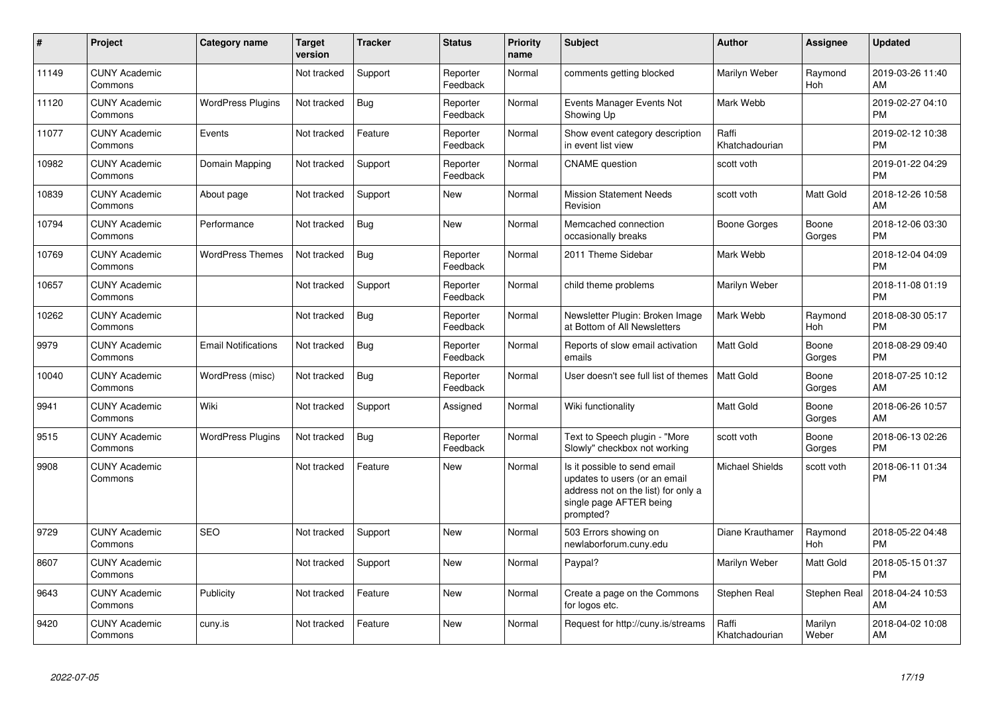| #     | Project                         | Category name              | <b>Target</b><br>version | <b>Tracker</b> | <b>Status</b>        | <b>Priority</b><br>name | <b>Subject</b>                                                                                                                               | <b>Author</b>           | Assignee         | <b>Updated</b>                |
|-------|---------------------------------|----------------------------|--------------------------|----------------|----------------------|-------------------------|----------------------------------------------------------------------------------------------------------------------------------------------|-------------------------|------------------|-------------------------------|
| 11149 | <b>CUNY Academic</b><br>Commons |                            | Not tracked              | Support        | Reporter<br>Feedback | Normal                  | comments getting blocked                                                                                                                     | Marilyn Weber           | Raymond<br>Hoh   | 2019-03-26 11:40<br>AM        |
| 11120 | <b>CUNY Academic</b><br>Commons | <b>WordPress Plugins</b>   | Not tracked              | Bug            | Reporter<br>Feedback | Normal                  | Events Manager Events Not<br>Showing Up                                                                                                      | Mark Webb               |                  | 2019-02-27 04:10<br><b>PM</b> |
| 11077 | <b>CUNY Academic</b><br>Commons | Events                     | Not tracked              | Feature        | Reporter<br>Feedback | Normal                  | Show event category description<br>in event list view                                                                                        | Raffi<br>Khatchadourian |                  | 2019-02-12 10:38<br><b>PM</b> |
| 10982 | <b>CUNY Academic</b><br>Commons | Domain Mapping             | Not tracked              | Support        | Reporter<br>Feedback | Normal                  | <b>CNAME</b> question                                                                                                                        | scott voth              |                  | 2019-01-22 04:29<br><b>PM</b> |
| 10839 | <b>CUNY Academic</b><br>Commons | About page                 | Not tracked              | Support        | New                  | Normal                  | <b>Mission Statement Needs</b><br>Revision                                                                                                   | scott voth              | Matt Gold        | 2018-12-26 10:58<br>AM        |
| 10794 | <b>CUNY Academic</b><br>Commons | Performance                | Not tracked              | Bug            | <b>New</b>           | Normal                  | Memcached connection<br>occasionally breaks                                                                                                  | Boone Gorges            | Boone<br>Gorges  | 2018-12-06 03:30<br><b>PM</b> |
| 10769 | <b>CUNY Academic</b><br>Commons | <b>WordPress Themes</b>    | Not tracked              | Bug            | Reporter<br>Feedback | Normal                  | 2011 Theme Sidebar                                                                                                                           | Mark Webb               |                  | 2018-12-04 04:09<br><b>PM</b> |
| 10657 | <b>CUNY Academic</b><br>Commons |                            | Not tracked              | Support        | Reporter<br>Feedback | Normal                  | child theme problems                                                                                                                         | Marilyn Weber           |                  | 2018-11-08 01:19<br><b>PM</b> |
| 10262 | <b>CUNY Academic</b><br>Commons |                            | Not tracked              | Bug            | Reporter<br>Feedback | Normal                  | Newsletter Plugin: Broken Image<br>at Bottom of All Newsletters                                                                              | Mark Webb               | Raymond<br>Hoh   | 2018-08-30 05:17<br><b>PM</b> |
| 9979  | <b>CUNY Academic</b><br>Commons | <b>Email Notifications</b> | Not tracked              | Bug            | Reporter<br>Feedback | Normal                  | Reports of slow email activation<br>emails                                                                                                   | Matt Gold               | Boone<br>Gorges  | 2018-08-29 09:40<br><b>PM</b> |
| 10040 | <b>CUNY Academic</b><br>Commons | WordPress (misc)           | Not tracked              | Bug            | Reporter<br>Feedback | Normal                  | User doesn't see full list of themes                                                                                                         | Matt Gold               | Boone<br>Gorges  | 2018-07-25 10:12<br><b>AM</b> |
| 9941  | <b>CUNY Academic</b><br>Commons | Wiki                       | Not tracked              | Support        | Assigned             | Normal                  | Wiki functionality                                                                                                                           | <b>Matt Gold</b>        | Boone<br>Gorges  | 2018-06-26 10:57<br><b>AM</b> |
| 9515  | <b>CUNY Academic</b><br>Commons | <b>WordPress Plugins</b>   | Not tracked              | Bug            | Reporter<br>Feedback | Normal                  | Text to Speech plugin - "More<br>Slowly" checkbox not working                                                                                | scott voth              | Boone<br>Gorges  | 2018-06-13 02:26<br><b>PM</b> |
| 9908  | <b>CUNY Academic</b><br>Commons |                            | Not tracked              | Feature        | <b>New</b>           | Normal                  | Is it possible to send email<br>updates to users (or an email<br>address not on the list) for only a<br>single page AFTER being<br>prompted? | <b>Michael Shields</b>  | scott voth       | 2018-06-11 01:34<br><b>PM</b> |
| 9729  | <b>CUNY Academic</b><br>Commons | <b>SEO</b>                 | Not tracked              | Support        | <b>New</b>           | Normal                  | 503 Errors showing on<br>newlaborforum.cuny.edu                                                                                              | Diane Krauthamer        | Raymond<br>Hoh   | 2018-05-22 04:48<br><b>PM</b> |
| 8607  | <b>CUNY Academic</b><br>Commons |                            | Not tracked              | Support        | <b>New</b>           | Normal                  | Paypal?                                                                                                                                      | Marilyn Weber           | Matt Gold        | 2018-05-15 01:37<br><b>PM</b> |
| 9643  | <b>CUNY Academic</b><br>Commons | Publicity                  | Not tracked              | Feature        | <b>New</b>           | Normal                  | Create a page on the Commons<br>for logos etc.                                                                                               | Stephen Real            | Stephen Real     | 2018-04-24 10:53<br>AM        |
| 9420  | <b>CUNY Academic</b><br>Commons | cuny.is                    | Not tracked              | Feature        | <b>New</b>           | Normal                  | Request for http://cuny.is/streams                                                                                                           | Raffi<br>Khatchadourian | Marilyn<br>Weber | 2018-04-02 10:08<br>AM        |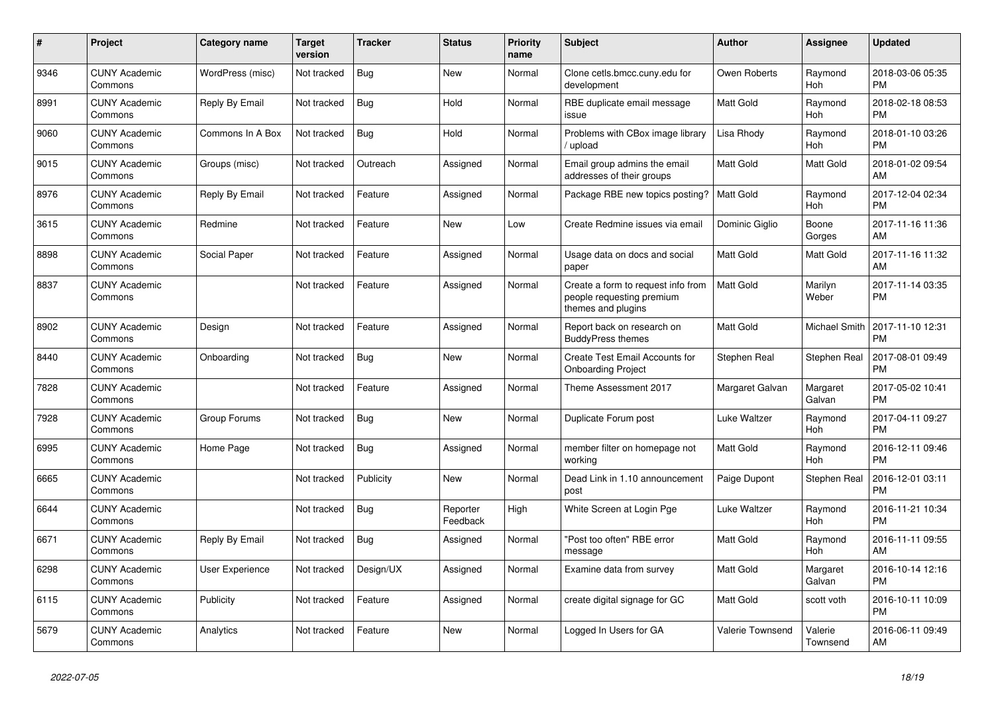| #    | <b>Project</b>                  | <b>Category name</b> | <b>Target</b><br>version | <b>Tracker</b> | <b>Status</b>        | <b>Priority</b><br>name | <b>Subject</b>                                                                        | <b>Author</b>           | <b>Assignee</b>       | <b>Updated</b>                |
|------|---------------------------------|----------------------|--------------------------|----------------|----------------------|-------------------------|---------------------------------------------------------------------------------------|-------------------------|-----------------------|-------------------------------|
| 9346 | <b>CUNY Academic</b><br>Commons | WordPress (misc)     | Not tracked              | Bug            | New                  | Normal                  | Clone cetls.bmcc.cuny.edu for<br>development                                          | Owen Roberts            | Raymond<br><b>Hoh</b> | 2018-03-06 05:35<br><b>PM</b> |
| 8991 | <b>CUNY Academic</b><br>Commons | Reply By Email       | Not tracked              | <b>Bug</b>     | Hold                 | Normal                  | RBE duplicate email message<br>issue                                                  | <b>Matt Gold</b>        | Raymond<br>Hoh        | 2018-02-18 08:53<br><b>PM</b> |
| 9060 | <b>CUNY Academic</b><br>Commons | Commons In A Box     | Not tracked              | <b>Bug</b>     | Hold                 | Normal                  | Problems with CBox image library<br>/ upload                                          | Lisa Rhody              | Raymond<br>Hoh        | 2018-01-10 03:26<br><b>PM</b> |
| 9015 | <b>CUNY Academic</b><br>Commons | Groups (misc)        | Not tracked              | Outreach       | Assigned             | Normal                  | Email group admins the email<br>addresses of their groups                             | Matt Gold               | <b>Matt Gold</b>      | 2018-01-02 09:54<br>AM        |
| 8976 | <b>CUNY Academic</b><br>Commons | Reply By Email       | Not tracked              | Feature        | Assigned             | Normal                  | Package RBE new topics posting?                                                       | <b>Matt Gold</b>        | Raymond<br>Hoh        | 2017-12-04 02:34<br><b>PM</b> |
| 3615 | <b>CUNY Academic</b><br>Commons | Redmine              | Not tracked              | Feature        | New                  | Low                     | Create Redmine issues via email                                                       | Dominic Giglio          | Boone<br>Gorges       | 2017-11-16 11:36<br>AM        |
| 8898 | <b>CUNY Academic</b><br>Commons | Social Paper         | Not tracked              | Feature        | Assigned             | Normal                  | Usage data on docs and social<br>paper                                                | <b>Matt Gold</b>        | <b>Matt Gold</b>      | 2017-11-16 11:32<br>AM        |
| 8837 | <b>CUNY Academic</b><br>Commons |                      | Not tracked              | Feature        | Assigned             | Normal                  | Create a form to request info from<br>people requesting premium<br>themes and plugins | <b>Matt Gold</b>        | Marilyn<br>Weber      | 2017-11-14 03:35<br>PM        |
| 8902 | <b>CUNY Academic</b><br>Commons | Design               | Not tracked              | Feature        | Assigned             | Normal                  | Report back on research on<br><b>BuddyPress themes</b>                                | <b>Matt Gold</b>        | Michael Smith         | 2017-11-10 12:31<br>PM        |
| 8440 | <b>CUNY Academic</b><br>Commons | Onboarding           | Not tracked              | Bug            | New                  | Normal                  | Create Test Email Accounts for<br><b>Onboarding Project</b>                           | Stephen Real            | Stephen Real          | 2017-08-01 09:49<br><b>PM</b> |
| 7828 | <b>CUNY Academic</b><br>Commons |                      | Not tracked              | Feature        | Assigned             | Normal                  | Theme Assessment 2017                                                                 | Margaret Galvan         | Margaret<br>Galvan    | 2017-05-02 10:41<br><b>PM</b> |
| 7928 | <b>CUNY Academic</b><br>Commons | Group Forums         | Not tracked              | Bug            | New                  | Normal                  | Duplicate Forum post                                                                  | Luke Waltzer            | Raymond<br>Hoh        | 2017-04-11 09:27<br><b>PM</b> |
| 6995 | <b>CUNY Academic</b><br>Commons | Home Page            | Not tracked              | Bug            | Assigned             | Normal                  | member filter on homepage not<br>working                                              | <b>Matt Gold</b>        | Raymond<br>Hoh        | 2016-12-11 09:46<br><b>PM</b> |
| 6665 | <b>CUNY Academic</b><br>Commons |                      | Not tracked              | Publicity      | <b>New</b>           | Normal                  | Dead Link in 1.10 announcement<br>post                                                | Paige Dupont            | Stephen Real          | 2016-12-01 03:11<br><b>PM</b> |
| 6644 | <b>CUNY Academic</b><br>Commons |                      | Not tracked              | Bug            | Reporter<br>Feedback | High                    | White Screen at Login Pge                                                             | Luke Waltzer            | Raymond<br>Hoh        | 2016-11-21 10:34<br><b>PM</b> |
| 6671 | <b>CUNY Academic</b><br>Commons | Reply By Email       | Not tracked              | <b>Bug</b>     | Assigned             | Normal                  | "Post too often" RBE error<br>message                                                 | <b>Matt Gold</b>        | Raymond<br>Hoh        | 2016-11-11 09:55<br>AM        |
| 6298 | <b>CUNY Academic</b><br>Commons | User Experience      | Not tracked              | Design/UX      | Assigned             | Normal                  | Examine data from survey                                                              | <b>Matt Gold</b>        | Margaret<br>Galvan    | 2016-10-14 12:16<br><b>PM</b> |
| 6115 | <b>CUNY Academic</b><br>Commons | Publicity            | Not tracked              | Feature        | Assigned             | Normal                  | create digital signage for GC                                                         | <b>Matt Gold</b>        | scott voth            | 2016-10-11 10:09<br><b>PM</b> |
| 5679 | <b>CUNY Academic</b><br>Commons | Analytics            | Not tracked              | Feature        | <b>New</b>           | Normal                  | Logged In Users for GA                                                                | <b>Valerie Townsend</b> | Valerie<br>Townsend   | 2016-06-11 09:49<br>AM        |